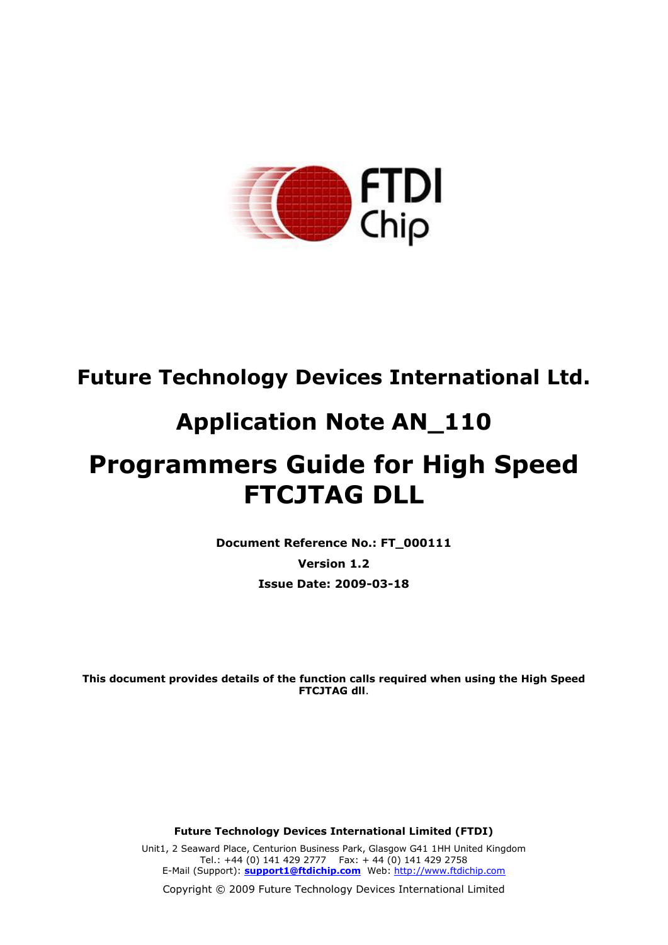

# **Future Technology Devices International Ltd.**

# **Application Note AN\_110**

# **Programmers Guide for High Speed FTCJTAG DLL**

**Document Reference No.: FT\_000111**

**Version 1.2 Issue Date: 2009-03-18**

**This document provides details of the function calls required when using the High Speed FTCJTAG dll**.

**Future Technology Devices International Limited (FTDI)**

Unit1, 2 Seaward Place, Centurion Business Park, Glasgow G41 1HH United Kingdom Tel.: +44 (0) 141 429 2777 Fax: + 44 (0) 141 429 2758 E-Mail (Support): **support1@ftdichip.com** Web: http://www.ftdichip.com

Copyright © 2009 Future Technology Devices International Limited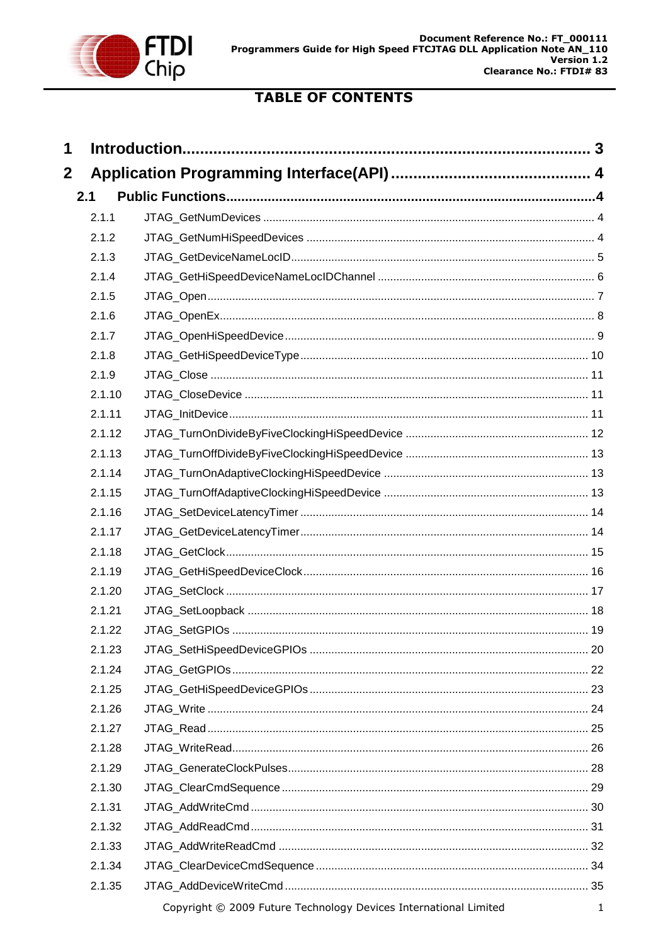

# **TABLE OF CONTENTS**

| 1           |        |                                                                  |              |
|-------------|--------|------------------------------------------------------------------|--------------|
| $\mathbf 2$ |        |                                                                  |              |
|             | 2.1    |                                                                  |              |
|             | 2.1.1  |                                                                  |              |
|             | 2.1.2  |                                                                  |              |
|             | 2.1.3  |                                                                  |              |
|             | 2.1.4  |                                                                  |              |
|             | 2.1.5  |                                                                  |              |
|             | 2.1.6  |                                                                  |              |
|             | 2.1.7  |                                                                  |              |
|             | 2.1.8  |                                                                  |              |
|             | 2.1.9  |                                                                  |              |
|             | 2.1.10 |                                                                  |              |
|             | 2.1.11 |                                                                  |              |
|             | 2.1.12 |                                                                  |              |
|             | 2.1.13 |                                                                  |              |
|             | 2.1.14 |                                                                  |              |
|             | 2.1.15 |                                                                  |              |
|             | 2.1.16 |                                                                  |              |
|             | 2.1.17 |                                                                  |              |
|             | 2.1.18 |                                                                  |              |
|             | 2.1.19 |                                                                  |              |
|             | 2.1.20 |                                                                  |              |
|             | 2.1.21 |                                                                  |              |
|             | 2.1.22 |                                                                  |              |
|             | 2.1.23 |                                                                  |              |
|             | 2.1.24 |                                                                  |              |
|             | 2.1.25 |                                                                  |              |
|             | 2.1.26 |                                                                  |              |
|             | 2.1.27 |                                                                  |              |
|             | 2.1.28 |                                                                  |              |
|             | 2.1.29 |                                                                  |              |
|             | 2.1.30 |                                                                  |              |
|             | 2.1.31 |                                                                  |              |
|             | 2.1.32 |                                                                  |              |
|             | 2.1.33 |                                                                  |              |
|             | 2.1.34 |                                                                  |              |
|             | 2.1.35 |                                                                  |              |
|             |        | Copyright © 2009 Future Technology Devices International Limited | $\mathbf{1}$ |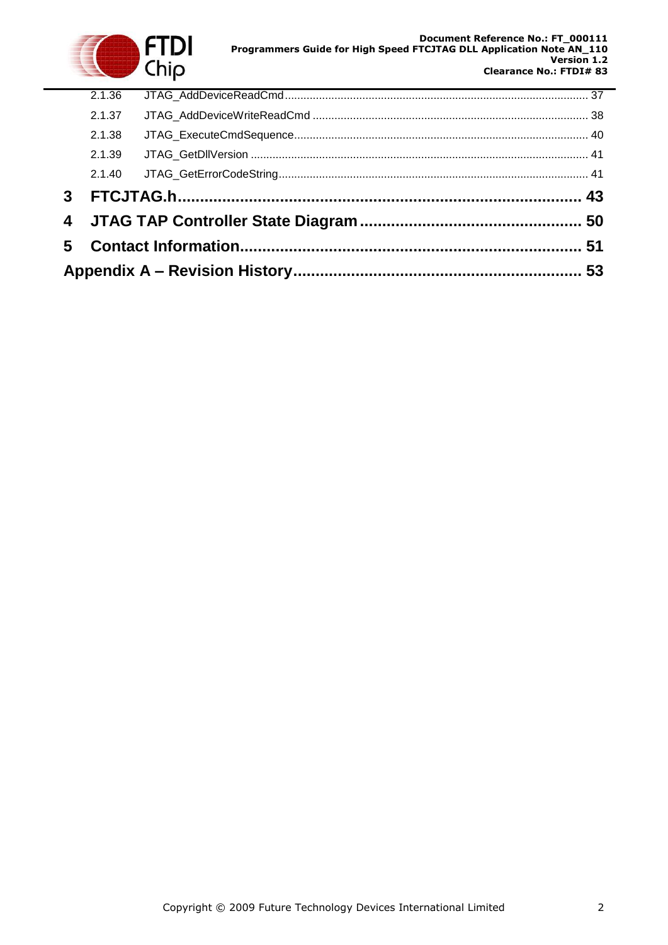

| 3 <sup>7</sup> |        |  |  |
|----------------|--------|--|--|
|                |        |  |  |
|                | 2.1.39 |  |  |
|                | 2.1.38 |  |  |
|                | 2.1.37 |  |  |
|                | 2.1.36 |  |  |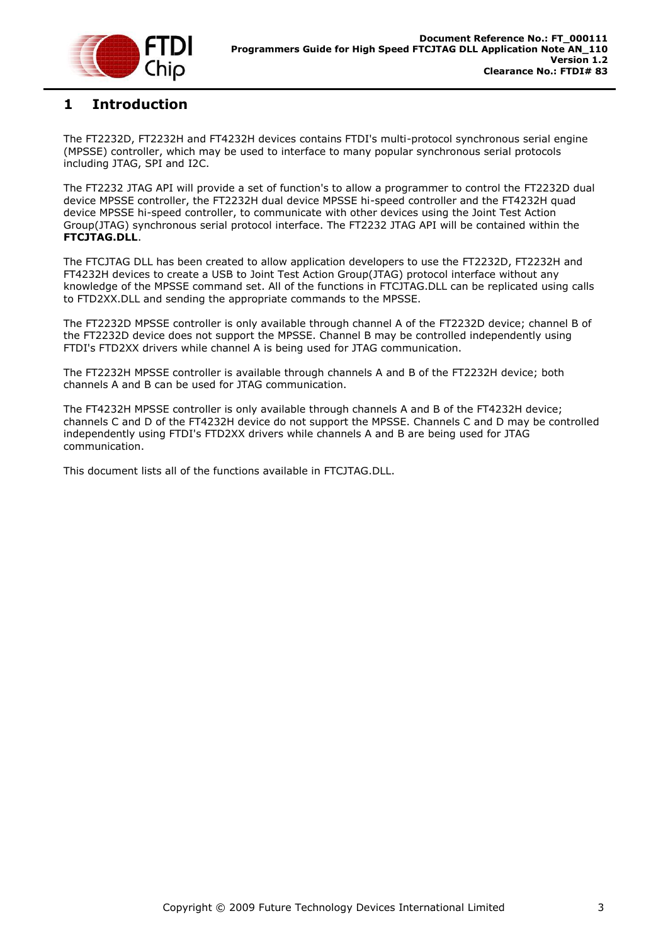

### <span id="page-3-0"></span>**1 Introduction**

The FT2232D, FT2232H and FT4232H devices contains FTDI's multi-protocol synchronous serial engine (MPSSE) controller, which may be used to interface to many popular synchronous serial protocols including JTAG, SPI and I2C.

The FT2232 JTAG API will provide a set of function's to allow a programmer to control the FT2232D dual device MPSSE controller, the FT2232H dual device MPSSE hi-speed controller and the FT4232H quad device MPSSE hi-speed controller, to communicate with other devices using the Joint Test Action Group(JTAG) synchronous serial protocol interface. The FT2232 JTAG API will be contained within the **FTCJTAG.DLL**.

The FTCJTAG DLL has been created to allow application developers to use the FT2232D, FT2232H and FT4232H devices to create a USB to Joint Test Action Group(JTAG) protocol interface without any knowledge of the MPSSE command set. All of the functions in FTCJTAG.DLL can be replicated using calls to FTD2XX.DLL and sending the appropriate commands to the MPSSE.

The FT2232D MPSSE controller is only available through channel A of the FT2232D device; channel B of the FT2232D device does not support the MPSSE. Channel B may be controlled independently using FTDI's FTD2XX drivers while channel A is being used for JTAG communication.

The FT2232H MPSSE controller is available through channels A and B of the FT2232H device; both channels A and B can be used for JTAG communication.

The FT4232H MPSSE controller is only available through channels A and B of the FT4232H device; channels C and D of the FT4232H device do not support the MPSSE. Channels C and D may be controlled independently using FTDI's FTD2XX drivers while channels A and B are being used for JTAG communication.

This document lists all of the functions available in FTCJTAG.DLL.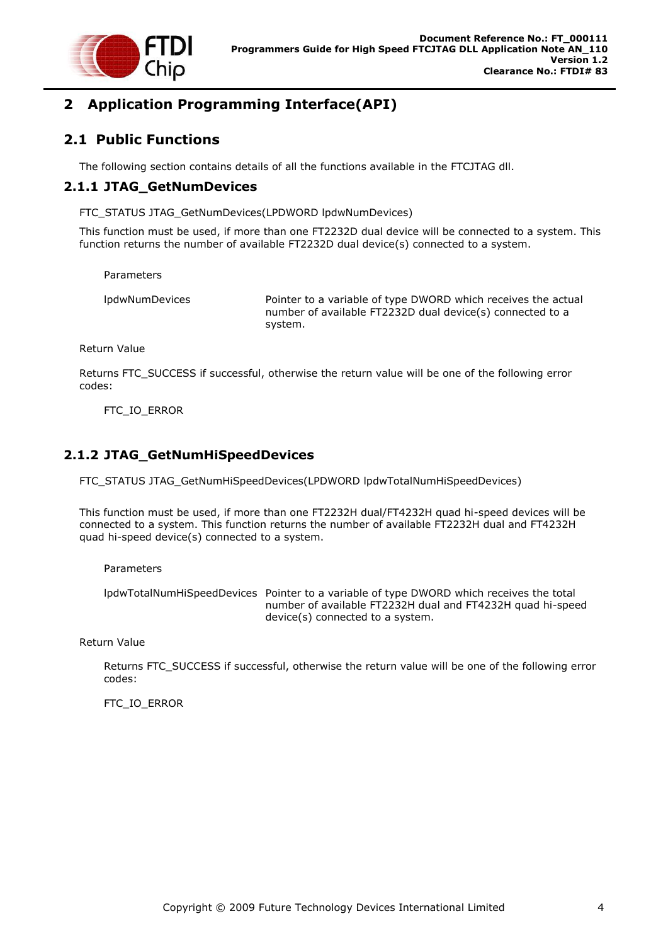

# <span id="page-4-0"></span>**2 Application Programming Interface(API)**

### <span id="page-4-1"></span>**2.1 Public Functions**

The following section contains details of all the functions available in the FTCJTAG dll.

### <span id="page-4-2"></span>**2.1.1 JTAG\_GetNumDevices**

FTC\_STATUS JTAG\_GetNumDevices(LPDWORD lpdwNumDevices)

This function must be used, if more than one FT2232D dual device will be connected to a system. This function returns the number of available FT2232D dual device(s) connected to a system.

Parameters

lpdwNumDevices Pointer to a variable of type DWORD which receives the actual number of available FT2232D dual device(s) connected to a system.

Return Value

Returns FTC\_SUCCESS if successful, otherwise the return value will be one of the following error codes:

FTC\_IO\_ERROR

### <span id="page-4-3"></span>**2.1.2 JTAG\_GetNumHiSpeedDevices**

FTC\_STATUS JTAG\_GetNumHiSpeedDevices(LPDWORD lpdwTotalNumHiSpeedDevices)

This function must be used, if more than one FT2232H dual/FT4232H quad hi-speed devices will be connected to a system. This function returns the number of available FT2232H dual and FT4232H quad hi-speed device(s) connected to a system.

Parameters

lpdwTotalNumHiSpeedDevices Pointer to a variable of type DWORD which receives the total number of available FT2232H dual and FT4232H quad hi-speed device(s) connected to a system.

Return Value

Returns FTC\_SUCCESS if successful, otherwise the return value will be one of the following error codes:

FTC\_IO\_ERROR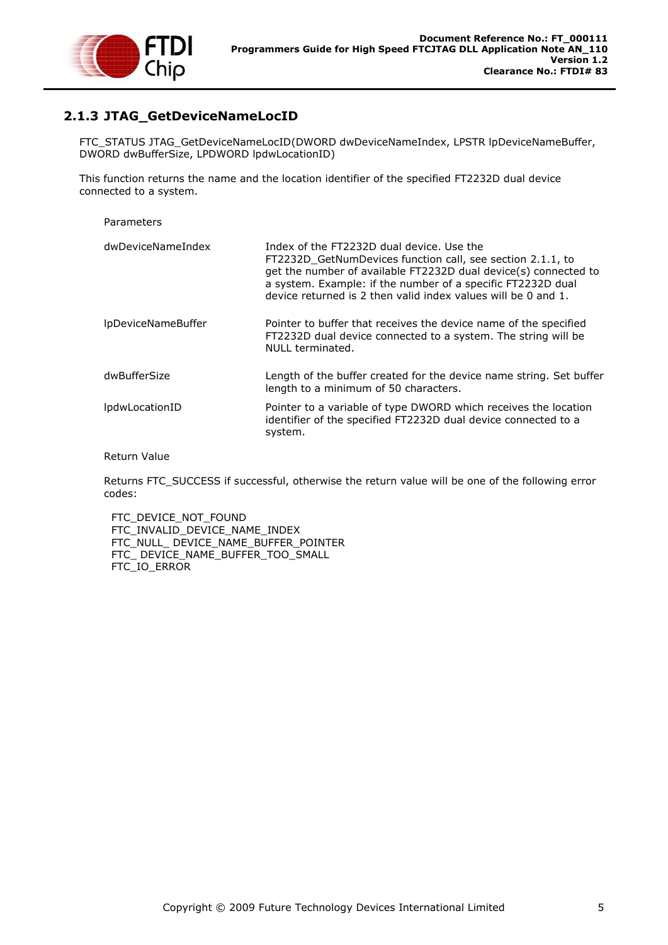

### <span id="page-5-0"></span>**2.1.3 JTAG\_GetDeviceNameLocID**

FTC\_STATUS JTAG\_GetDeviceNameLocID(DWORD dwDeviceNameIndex, LPSTR lpDeviceNameBuffer, DWORD dwBufferSize, LPDWORD lpdwLocationID)

This function returns the name and the location identifier of the specified FT2232D dual device connected to a system.

#### Parameters

| dwDeviceNameIndex     | Index of the FT2232D dual device. Use the<br>FT2232D GetNumDevices function call, see section 2.1.1, to<br>get the number of available FT2232D dual device(s) connected to<br>a system. Example: if the number of a specific FT2232D dual<br>device returned is 2 then valid index values will be 0 and 1. |
|-----------------------|------------------------------------------------------------------------------------------------------------------------------------------------------------------------------------------------------------------------------------------------------------------------------------------------------------|
| IpDeviceNameBuffer    | Pointer to buffer that receives the device name of the specified<br>FT2232D dual device connected to a system. The string will be<br>NULL terminated.                                                                                                                                                      |
| dwBufferSize          | Length of the buffer created for the device name string. Set buffer<br>length to a minimum of 50 characters.                                                                                                                                                                                               |
| <i>lpdwLocationID</i> | Pointer to a variable of type DWORD which receives the location<br>identifier of the specified FT2232D dual device connected to a<br>system.                                                                                                                                                               |

#### Return Value

Returns FTC\_SUCCESS if successful, otherwise the return value will be one of the following error codes:

FTC\_DEVICE\_NOT\_FOUND FTC\_INVALID\_DEVICE\_NAME\_INDEX FTC\_NULL\_ DEVICE\_NAME\_BUFFER\_POINTER FTC\_ DEVICE\_NAME\_BUFFER\_TOO\_SMALL FTC\_IO\_ERROR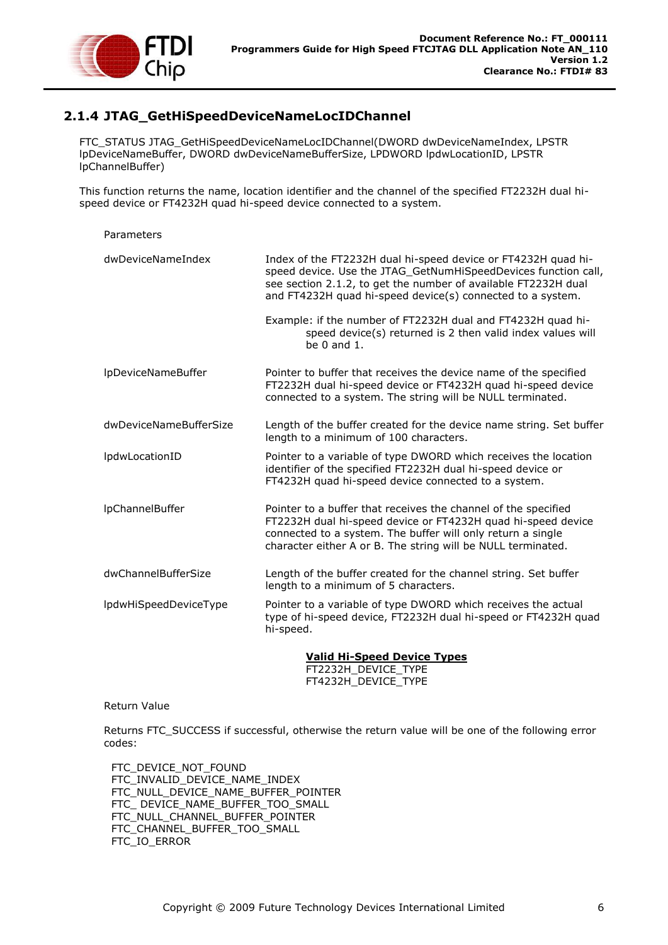

### <span id="page-6-0"></span>**2.1.4 JTAG\_GetHiSpeedDeviceNameLocIDChannel**

FTC\_STATUS JTAG\_GetHiSpeedDeviceNameLocIDChannel(DWORD dwDeviceNameIndex, LPSTR lpDeviceNameBuffer, DWORD dwDeviceNameBufferSize, LPDWORD lpdwLocationID, LPSTR lpChannelBuffer)

This function returns the name, location identifier and the channel of the specified FT2232H dual hispeed device or FT4232H quad hi-speed device connected to a system.

### Parameters dwDeviceNameIndex Index of the FT2232H dual hi-speed device or FT4232H quad hispeed device. Use the JTAG GetNumHiSpeedDevices function call, see section [2.1.2,](#page-4-3) to get the number of available FT2232H dual and FT4232H quad hi-speed device(s) connected to a system. Example: if the number of FT2232H dual and FT4232H quad hispeed device(s) returned is 2 then valid index values will be 0 and 1. lpDeviceNameBuffer Pointer to buffer that receives the device name of the specified FT2232H dual hi-speed device or FT4232H quad hi-speed device connected to a system. The string will be NULL terminated. dwDeviceNameBufferSize Length of the buffer created for the device name string. Set buffer length to a minimum of 100 characters. lpdwLocationID Pointer to a variable of type DWORD which receives the location identifier of the specified FT2232H dual hi-speed device or FT4232H quad hi-speed device connected to a system. lpChannelBuffer Pointer to a buffer that receives the channel of the specified FT2232H dual hi-speed device or FT4232H quad hi-speed device connected to a system. The buffer will only return a single character either A or B. The string will be NULL terminated. dwChannelBufferSize Length of the buffer created for the channel string. Set buffer length to a minimum of 5 characters. lpdwHiSpeedDeviceType Pointer to a variable of type DWORD which receives the actual type of hi-speed device, FT2232H dual hi-speed or FT4232H quad hi-speed.

**Valid Hi-Speed Device Types** FT2232H\_DEVICE\_TYPE FT4232H\_DEVICE\_TYPE

#### Return Value

Returns FTC\_SUCCESS if successful, otherwise the return value will be one of the following error codes:

FTC\_DEVICE\_NOT\_FOUND FTC\_INVALID\_DEVICE\_NAME\_INDEX FTC\_NULL\_DEVICE\_NAME\_BUFFER\_POINTER FTC\_ DEVICE\_NAME\_BUFFER\_TOO\_SMALL FTC\_NULL\_CHANNEL\_BUFFER\_POINTER FTC\_CHANNEL\_BUFFER\_TOO\_SMALL FTC\_IO\_ERROR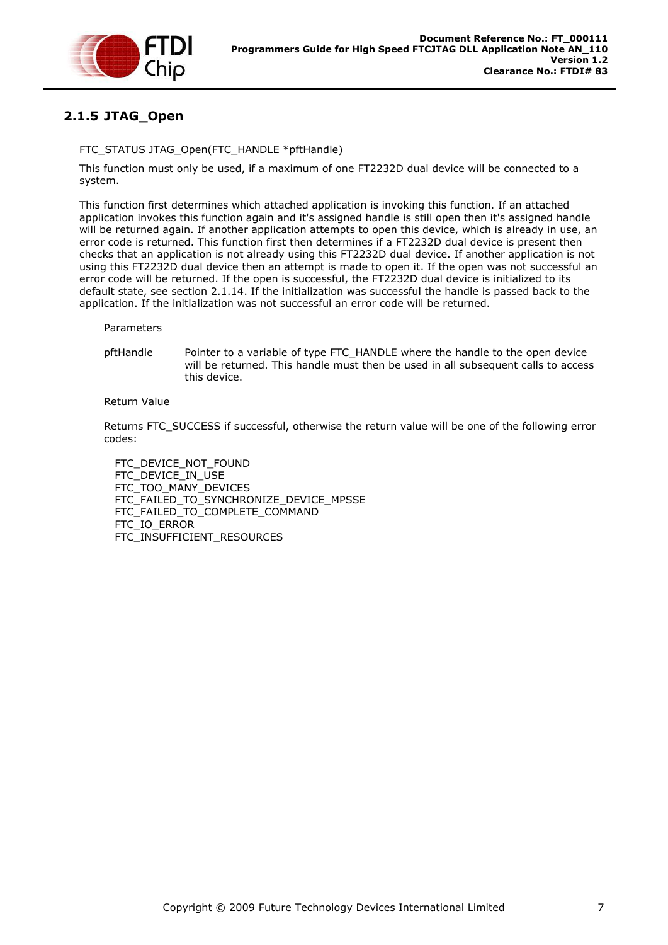

# <span id="page-7-0"></span>**2.1.5 JTAG\_Open**

### FTC\_STATUS JTAG\_Open(FTC\_HANDLE \*pftHandle)

This function must only be used, if a maximum of one FT2232D dual device will be connected to a system.

This function first determines which attached application is invoking this function. If an attached application invokes this function again and it's assigned handle is still open then it's assigned handle will be returned again. If another application attempts to open this device, which is already in use, an error code is returned. This function first then determines if a FT2232D dual device is present then checks that an application is not already using this FT2232D dual device. If another application is not using this FT2232D dual device then an attempt is made to open it. If the open was not successful an error code will be returned. If the open is successful, the FT2232D dual device is initialized to its default state, see section [2.1.14.](#page-13-1) If the initialization was successful the handle is passed back to the application. If the initialization was not successful an error code will be returned.

Parameters

pftHandle Pointer to a variable of type FTC\_HANDLE where the handle to the open device will be returned. This handle must then be used in all subsequent calls to access this device.

Return Value

Returns FTC\_SUCCESS if successful, otherwise the return value will be one of the following error codes:

FTC\_DEVICE\_NOT\_FOUND FTC\_DEVICE\_IN\_USE FTC TOO MANY DEVICES FTC\_FAILED\_TO\_SYNCHRONIZE\_DEVICE\_MPSSE FTC\_FAILED\_TO\_COMPLETE\_COMMAND FTC\_IO\_ERROR FTC\_INSUFFICIENT\_RESOURCES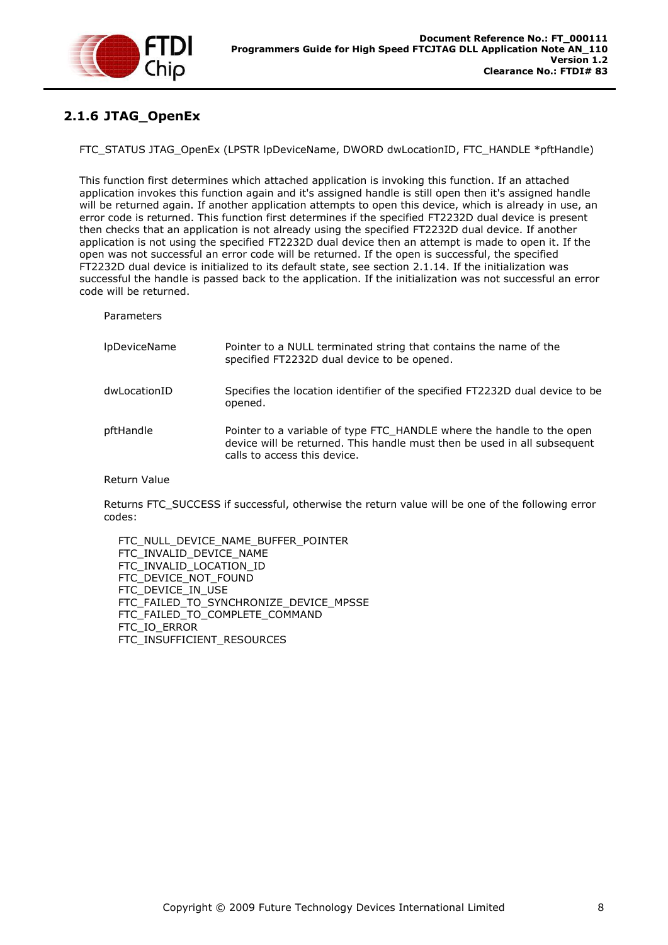

# <span id="page-8-0"></span>**2.1.6 JTAG\_OpenEx**

FTC\_STATUS JTAG\_OpenEx (LPSTR lpDeviceName, DWORD dwLocationID, FTC\_HANDLE \*pftHandle)

This function first determines which attached application is invoking this function. If an attached application invokes this function again and it's assigned handle is still open then it's assigned handle will be returned again. If another application attempts to open this device, which is already in use, an error code is returned. This function first determines if the specified FT2232D dual device is present then checks that an application is not already using the specified FT2232D dual device. If another application is not using the specified FT2232D dual device then an attempt is made to open it. If the open was not successful an error code will be returned. If the open is successful, the specified FT2232D dual device is initialized to its default state, see section [2.1.14.](#page-13-1) If the initialization was successful the handle is passed back to the application. If the initialization was not successful an error code will be returned.

Parameters

| <b>IpDeviceName</b> | Pointer to a NULL terminated string that contains the name of the<br>specified FT2232D dual device to be opened.                                                                  |
|---------------------|-----------------------------------------------------------------------------------------------------------------------------------------------------------------------------------|
| dwLocationID        | Specifies the location identifier of the specified FT2232D dual device to be<br>opened.                                                                                           |
| pftHandle           | Pointer to a variable of type FTC_HANDLE where the handle to the open<br>device will be returned. This handle must then be used in all subsequent<br>calls to access this device. |

Return Value

Returns FTC\_SUCCESS if successful, otherwise the return value will be one of the following error codes:

 FTC\_NULL\_DEVICE\_NAME\_BUFFER\_POINTER FTC\_INVALID\_DEVICE\_NAME FTC\_INVALID\_LOCATION\_ID FTC\_DEVICE\_NOT\_FOUND FTC\_DEVICE\_IN\_USE FTC\_FAILED\_TO\_SYNCHRONIZE\_DEVICE\_MPSSE FTC\_FAILED\_TO\_COMPLETE\_COMMAND FTC\_IO\_ERROR FTC\_INSUFFICIENT\_RESOURCES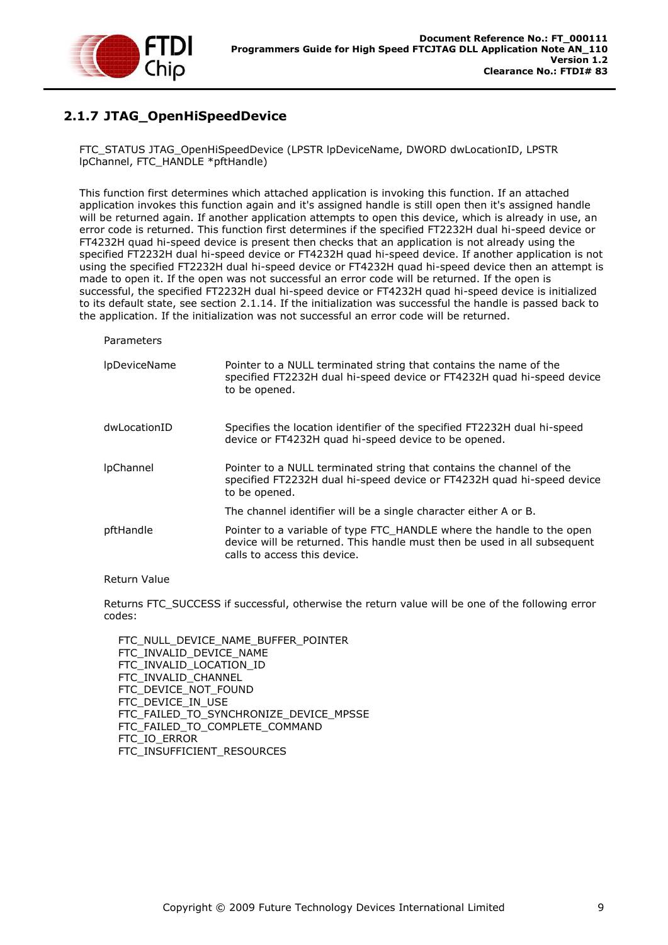

# <span id="page-9-0"></span>**2.1.7 JTAG\_OpenHiSpeedDevice**

FTC\_STATUS JTAG\_OpenHiSpeedDevice (LPSTR lpDeviceName, DWORD dwLocationID, LPSTR lpChannel, FTC\_HANDLE \*pftHandle)

This function first determines which attached application is invoking this function. If an attached application invokes this function again and it's assigned handle is still open then it's assigned handle will be returned again. If another application attempts to open this device, which is already in use, an error code is returned. This function first determines if the specified FT2232H dual hi-speed device or FT4232H quad hi-speed device is present then checks that an application is not already using the specified FT2232H dual hi-speed device or FT4232H quad hi-speed device. If another application is not using the specified FT2232H dual hi-speed device or FT4232H quad hi-speed device then an attempt is made to open it. If the open was not successful an error code will be returned. If the open is successful, the specified FT2232H dual hi-speed device or FT4232H quad hi-speed device is initialized to its default state, see section [2.1.14.](#page-13-1) If the initialization was successful the handle is passed back to the application. If the initialization was not successful an error code will be returned.

Parameters

| <b>IpDeviceName</b> | Pointer to a NULL terminated string that contains the name of the<br>specified FT2232H dual hi-speed device or FT4232H quad hi-speed device<br>to be opened.                      |
|---------------------|-----------------------------------------------------------------------------------------------------------------------------------------------------------------------------------|
| dwLocationID        | Specifies the location identifier of the specified FT2232H dual hi-speed<br>device or FT4232H quad hi-speed device to be opened.                                                  |
| <b>IpChannel</b>    | Pointer to a NULL terminated string that contains the channel of the<br>specified FT2232H dual hi-speed device or FT4232H quad hi-speed device<br>to be opened.                   |
|                     | The channel identifier will be a single character either A or B.                                                                                                                  |
| pftHandle           | Pointer to a variable of type FTC_HANDLE where the handle to the open<br>device will be returned. This handle must then be used in all subsequent<br>calls to access this device. |

#### Return Value

Returns FTC\_SUCCESS if successful, otherwise the return value will be one of the following error codes:

 FTC\_NULL\_DEVICE\_NAME\_BUFFER\_POINTER FTC\_INVALID\_DEVICE\_NAME FTC\_INVALID\_LOCATION\_ID FTC\_INVALID\_CHANNEL FTC\_DEVICE\_NOT\_FOUND FTC\_DEVICE\_IN\_USE FTC\_FAILED\_TO\_SYNCHRONIZE\_DEVICE\_MPSSE FTC\_FAILED\_TO\_COMPLETE\_COMMAND FTC\_IO\_ERROR FTC\_INSUFFICIENT\_RESOURCES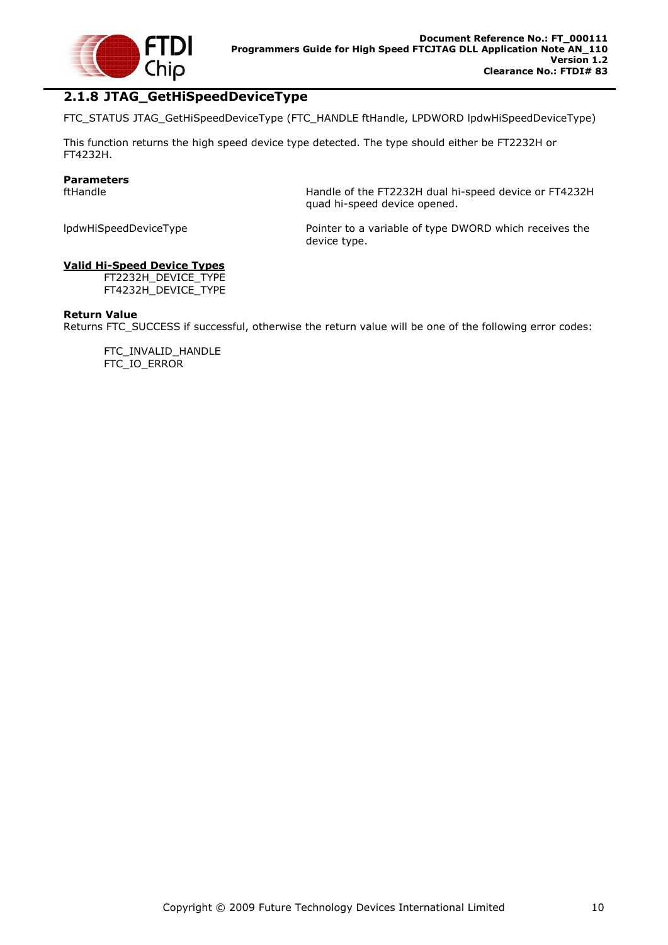

### <span id="page-10-0"></span>**2.1.8 JTAG\_GetHiSpeedDeviceType**

FTC\_STATUS JTAG\_GetHiSpeedDeviceType (FTC\_HANDLE ftHandle, LPDWORD lpdwHiSpeedDeviceType)

This function returns the high speed device type detected. The type should either be FT2232H or FT4232H.

# **Parameters**

Handle of the FT2232H dual hi-speed device or FT4232H quad hi-speed device opened.

lpdwHiSpeedDeviceType **Pointer to a variable of type DWORD** which receives the device type.

#### **Valid Hi-Speed Device Types**

FT2232H\_DEVICE\_TYPE FT4232H\_DEVICE\_TYPE

#### **Return Value**

Returns FTC\_SUCCESS if successful, otherwise the return value will be one of the following error codes:

FTC\_INVALID\_HANDLE FTC\_IO\_ERROR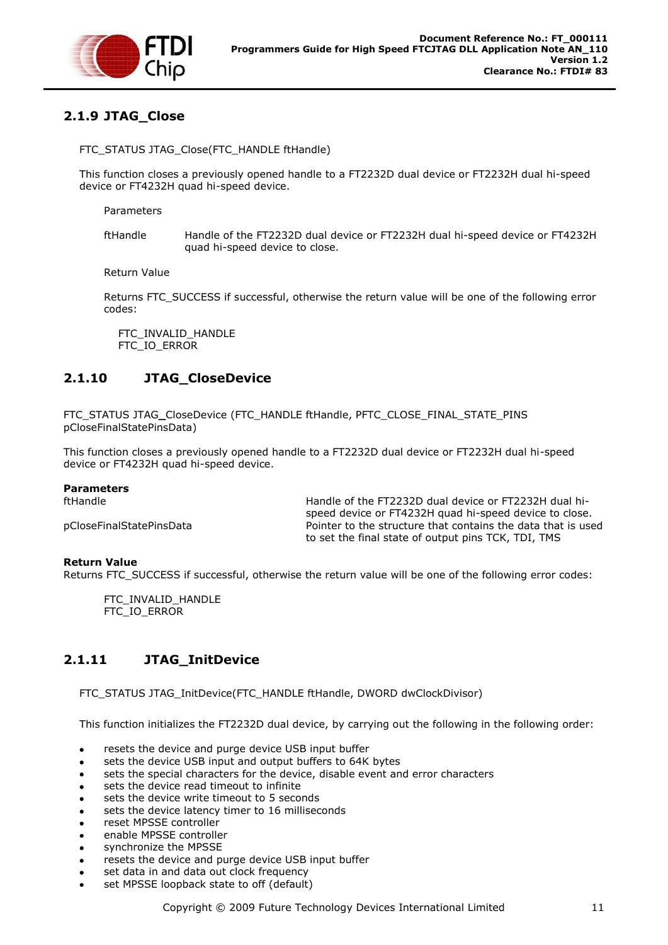

### <span id="page-11-0"></span>**2.1.9 JTAG\_Close**

#### FTC\_STATUS JTAG\_Close(FTC\_HANDLE ftHandle)

This function closes a previously opened handle to a FT2232D dual device or FT2232H dual hi-speed device or FT4232H quad hi-speed device.

Parameters

ftHandle Handle of the FT2232D dual device or FT2232H dual hi-speed device or FT4232H quad hi-speed device to close.

Return Value

Returns FTC\_SUCCESS if successful, otherwise the return value will be one of the following error codes:

FTC\_INVALID\_HANDLE FTC\_IO\_ERROR

### <span id="page-11-1"></span>**2.1.10 JTAG\_CloseDevice**

FTC\_STATUS JTAG**\_**CloseDevice (FTC\_HANDLE ftHandle, PFTC\_CLOSE\_FINAL\_STATE\_PINS pCloseFinalStatePinsData)

This function closes a previously opened handle to a FT2232D dual device or FT2232H dual hi-speed device or FT4232H quad hi-speed device.

#### **Parameters**

ftHandle Handle of the FT2232D dual device or FT2232H dual hispeed device or FT4232H quad hi-speed device to close. pCloseFinalStatePinsData Pointer to the structure that contains the data that is used to set the final state of output pins TCK, TDI, TMS

#### **Return Value**

Returns FTC\_SUCCESS if successful, otherwise the return value will be one of the following error codes:

FTC\_INVALID\_HANDLE FTC\_IO\_ERROR

### <span id="page-11-2"></span>**2.1.11 JTAG\_InitDevice**

FTC\_STATUS JTAG\_InitDevice(FTC\_HANDLE ftHandle, DWORD dwClockDivisor)

This function initializes the FT2232D dual device, by carrying out the following in the following order:

- resets the device and purge device USB input buffer
- sets the device USB input and output buffers to 64K bytes
- sets the special characters for the device, disable event and error characters  $\bullet$
- sets the device read timeout to infinite
- sets the device write timeout to 5 seconds
- sets the device latency timer to 16 milliseconds
- reset MPSSE controller
- enable MPSSE controller
- synchronize the MPSSE
- resets the device and purge device USB input buffer
- set data in and data out clock frequency
- set MPSSE loopback state to off (default)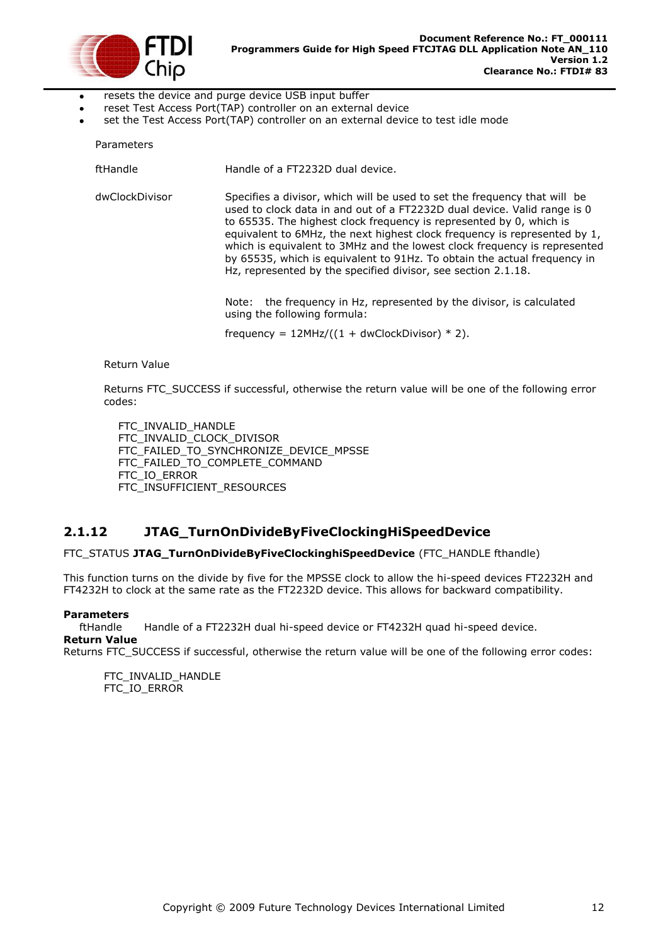

- resets the device and purge device USB input buffer  $\bullet$
- reset Test Access Port(TAP) controller on an external device
- set the Test Access Port(TAP) controller on an external device to test idle mode

| Parameters     |                                                                                                                                                                                                                                                                                                                                                                                                                                                                                                                                     |
|----------------|-------------------------------------------------------------------------------------------------------------------------------------------------------------------------------------------------------------------------------------------------------------------------------------------------------------------------------------------------------------------------------------------------------------------------------------------------------------------------------------------------------------------------------------|
| ftHandle       | Handle of a FT2232D dual device.                                                                                                                                                                                                                                                                                                                                                                                                                                                                                                    |
| dwClockDivisor | Specifies a divisor, which will be used to set the frequency that will be<br>used to clock data in and out of a FT2232D dual device. Valid range is 0<br>to 65535. The highest clock frequency is represented by 0, which is<br>equivalent to 6MHz, the next highest clock frequency is represented by 1,<br>which is equivalent to 3MHz and the lowest clock frequency is represented<br>by 65535, which is equivalent to 91Hz. To obtain the actual frequency in<br>Hz, represented by the specified divisor, see section 2.1.18. |
|                | Note: the frequency in Hz, represented by the divisor, is calculated<br>using the following formula:                                                                                                                                                                                                                                                                                                                                                                                                                                |
|                | frequency = $12MHz/((1 + dwClockDivisor) * 2)$ .                                                                                                                                                                                                                                                                                                                                                                                                                                                                                    |

Return Value

Returns FTC\_SUCCESS if successful, otherwise the return value will be one of the following error codes:

FTC\_INVALID\_HANDLE FTC\_INVALID\_CLOCK\_DIVISOR FTC\_FAILED\_TO\_SYNCHRONIZE\_DEVICE\_MPSSE FTC\_FAILED\_TO\_COMPLETE\_COMMAND FTC\_IO\_ERROR FTC\_INSUFFICIENT\_RESOURCES

### <span id="page-12-0"></span>**2.1.12 JTAG\_TurnOnDivideByFiveClockingHiSpeedDevice**

FTC\_STATUS **JTAG\_TurnOnDivideByFiveClockinghiSpeedDevice** (FTC\_HANDLE fthandle)

This function turns on the divide by five for the MPSSE clock to allow the hi-speed devices FT2232H and FT4232H to clock at the same rate as the FT2232D device. This allows for backward compatibility.

#### **Parameters**

ftHandle Handle of a FT2232H dual hi-speed device or FT4232H quad hi-speed device. **Return Value**

Returns FTC\_SUCCESS if successful, otherwise the return value will be one of the following error codes:

FTC\_INVALID\_HANDLE FTC\_IO\_ERROR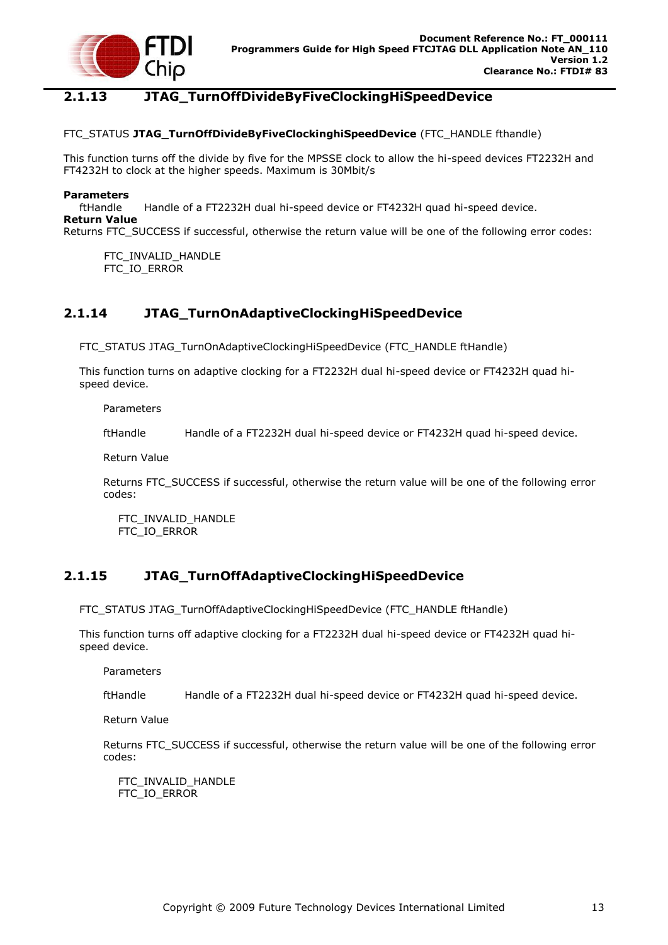

### <span id="page-13-0"></span>**2.1.13 JTAG\_TurnOffDivideByFiveClockingHiSpeedDevice**

#### FTC\_STATUS **JTAG\_TurnOffDivideByFiveClockinghiSpeedDevice** (FTC\_HANDLE fthandle)

This function turns off the divide by five for the MPSSE clock to allow the hi-speed devices FT2232H and FT4232H to clock at the higher speeds. Maximum is 30Mbit/s

#### **Parameters**

ftHandle Handle of a FT2232H dual hi-speed device or FT4232H quad hi-speed device. **Return Value**

Returns FTC\_SUCCESS if successful, otherwise the return value will be one of the following error codes:

FTC\_INVALID\_HANDLE FTC\_IO\_ERROR

### <span id="page-13-1"></span>**2.1.14 JTAG\_TurnOnAdaptiveClockingHiSpeedDevice**

FTC\_STATUS JTAG\_TurnOnAdaptiveClockingHiSpeedDevice (FTC\_HANDLE ftHandle)

This function turns on adaptive clocking for a FT2232H dual hi-speed device or FT4232H quad hispeed device.

Parameters

ftHandle Handle of a FT2232H dual hi-speed device or FT4232H quad hi-speed device.

Return Value

Returns FTC\_SUCCESS if successful, otherwise the return value will be one of the following error codes:

 FTC\_INVALID\_HANDLE FTC\_IO\_ERROR

### <span id="page-13-2"></span>**2.1.15 JTAG\_TurnOffAdaptiveClockingHiSpeedDevice**

FTC\_STATUS JTAG\_TurnOffAdaptiveClockingHiSpeedDevice (FTC\_HANDLE ftHandle)

This function turns off adaptive clocking for a FT2232H dual hi-speed device or FT4232H quad hispeed device.

Parameters

ftHandle Handle of a FT2232H dual hi-speed device or FT4232H quad hi-speed device.

Return Value

Returns FTC\_SUCCESS if successful, otherwise the return value will be one of the following error codes:

 FTC\_INVALID\_HANDLE FTC\_IO\_ERROR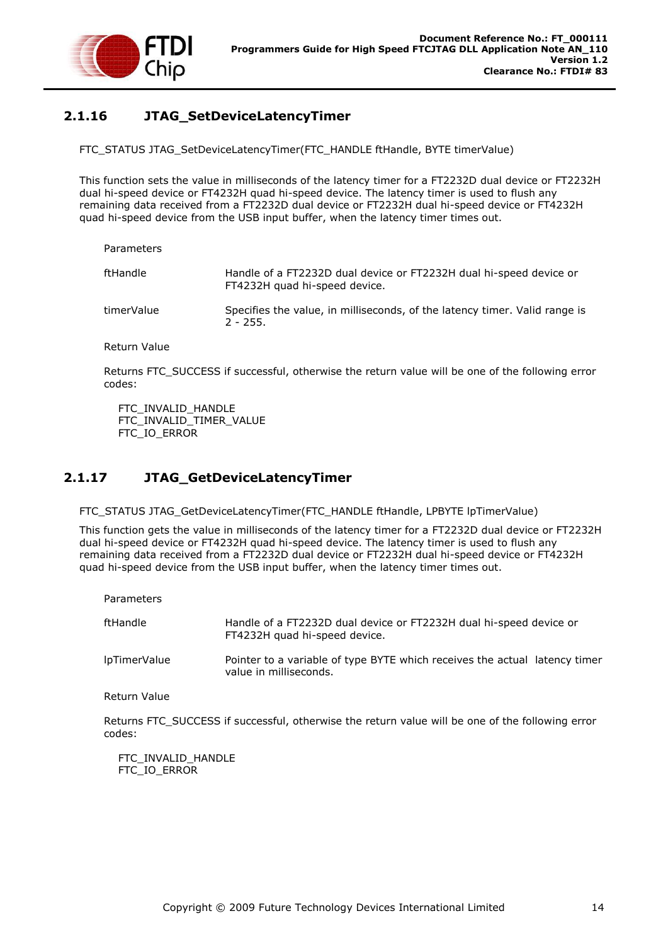

# <span id="page-14-0"></span>**2.1.16 JTAG\_SetDeviceLatencyTimer**

FTC\_STATUS JTAG\_SetDeviceLatencyTimer(FTC\_HANDLE ftHandle, BYTE timerValue)

This function sets the value in milliseconds of the latency timer for a FT2232D dual device or FT2232H dual hi-speed device or FT4232H quad hi-speed device. The latency timer is used to flush any remaining data received from a FT2232D dual device or FT2232H dual hi-speed device or FT4232H quad hi-speed device from the USB input buffer, when the latency timer times out.

| ftHandle   | Handle of a FT2232D dual device or FT2232H dual hi-speed device or<br>FT4232H quad hi-speed device. |
|------------|-----------------------------------------------------------------------------------------------------|
| timerValue | Specifies the value, in milliseconds, of the latency timer. Valid range is<br>$2 - 255$ .           |

Return Value

Returns FTC\_SUCCESS if successful, otherwise the return value will be one of the following error codes:

 FTC\_INVALID\_HANDLE FTC\_INVALID\_TIMER\_VALUE FTC\_IO\_ERROR

### <span id="page-14-1"></span>**2.1.17 JTAG\_GetDeviceLatencyTimer**

FTC\_STATUS JTAG\_GetDeviceLatencyTimer(FTC\_HANDLE ftHandle, LPBYTE lpTimerValue)

This function gets the value in milliseconds of the latency timer for a FT2232D dual device or FT2232H dual hi-speed device or FT4232H quad hi-speed device. The latency timer is used to flush any remaining data received from a FT2232D dual device or FT2232H dual hi-speed device or FT4232H quad hi-speed device from the USB input buffer, when the latency timer times out.

| Parameters   |                                                                                                      |
|--------------|------------------------------------------------------------------------------------------------------|
| ftHandle     | Handle of a FT2232D dual device or FT2232H dual hi-speed device or<br>FT4232H quad hi-speed device.  |
| lpTimerValue | Pointer to a variable of type BYTE which receives the actual latency timer<br>value in milliseconds. |
| Return Value |                                                                                                      |

Returns FTC\_SUCCESS if successful, otherwise the return value will be one of the following error codes:

FTC\_INVALID\_HANDLE FTC\_IO\_ERROR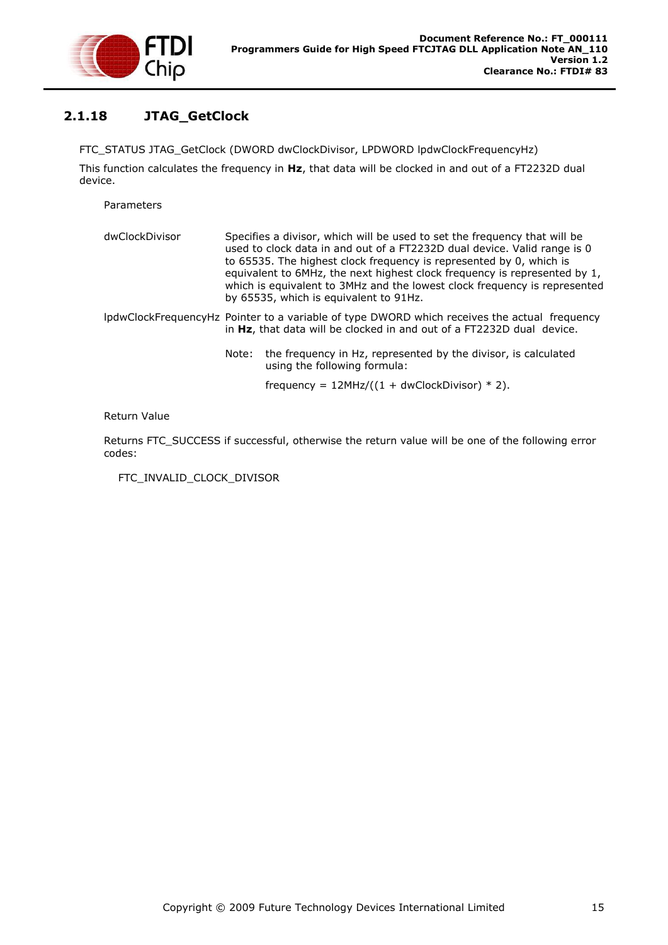

# <span id="page-15-0"></span>**2.1.18 JTAG\_GetClock**

FTC\_STATUS JTAG\_GetClock (DWORD dwClockDivisor, LPDWORD lpdwClockFrequencyHz)

This function calculates the frequency in **Hz**, that data will be clocked in and out of a FT2232D dual device.

Parameters

| dwClockDivisor |       | Specifies a divisor, which will be used to set the frequency that will be<br>used to clock data in and out of a FT2232D dual device. Valid range is 0<br>to 65535. The highest clock frequency is represented by 0, which is<br>equivalent to 6MHz, the next highest clock frequency is represented by 1,<br>which is equivalent to 3MHz and the lowest clock frequency is represented<br>by 65535, which is equivalent to 91Hz. |
|----------------|-------|----------------------------------------------------------------------------------------------------------------------------------------------------------------------------------------------------------------------------------------------------------------------------------------------------------------------------------------------------------------------------------------------------------------------------------|
|                |       | IpdwClockFrequencyHz Pointer to a variable of type DWORD which receives the actual frequency<br>in Hz, that data will be clocked in and out of a FT2232D dual device.                                                                                                                                                                                                                                                            |
|                | Note: | the frequency in Hz, represented by the divisor, is calculated<br>using the following formula:                                                                                                                                                                                                                                                                                                                                   |
|                |       | frequency = $12MHz/((1 + dwClockDivisor) * 2)$ .                                                                                                                                                                                                                                                                                                                                                                                 |

Return Value

Returns FTC\_SUCCESS if successful, otherwise the return value will be one of the following error codes:

FTC\_INVALID\_CLOCK\_DIVISOR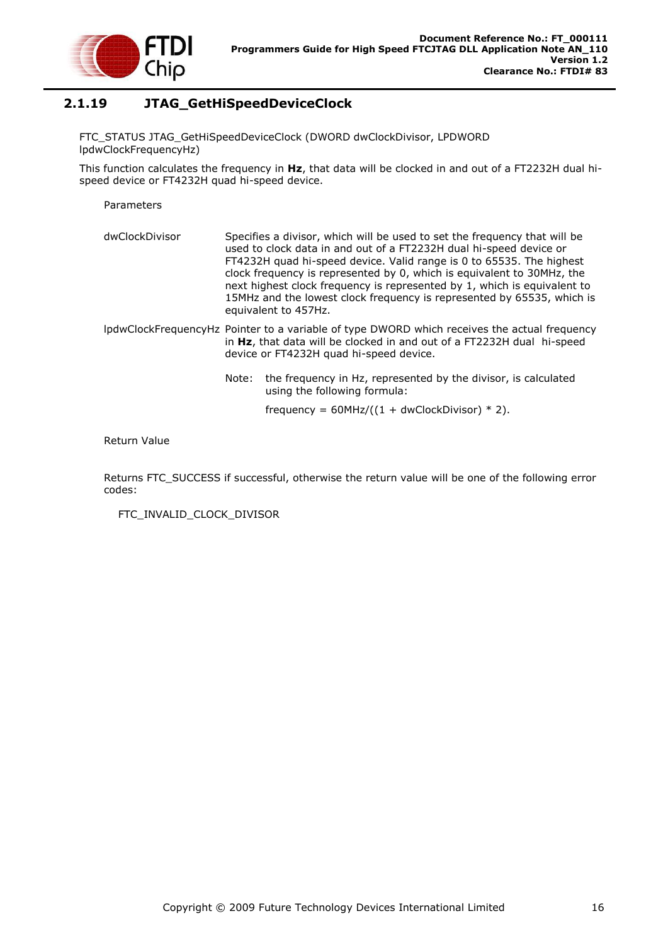

### <span id="page-16-0"></span>**2.1.19 JTAG\_GetHiSpeedDeviceClock**

FTC\_STATUS JTAG\_GetHiSpeedDeviceClock (DWORD dwClockDivisor, LPDWORD lpdwClockFrequencyHz)

This function calculates the frequency in **Hz**, that data will be clocked in and out of a FT2232H dual hispeed device or FT4232H quad hi-speed device.

Parameters

- dwClockDivisor Specifies a divisor, which will be used to set the frequency that will be used to clock data in and out of a FT2232H dual hi-speed device or FT4232H quad hi-speed device. Valid range is 0 to 65535. The highest clock frequency is represented by 0, which is equivalent to 30MHz, the next highest clock frequency is represented by 1, which is equivalent to 15MHz and the lowest clock frequency is represented by 65535, which is equivalent to 457Hz.
- lpdwClockFrequencyHz Pointer to a variable of type DWORD which receives the actual frequency in **Hz**, that data will be clocked in and out of a FT2232H dual hi-speed device or FT4232H quad hi-speed device.
	- Note: the frequency in Hz, represented by the divisor, is calculated using the following formula:

frequency =  $60$ MHz/( $(1 + dw$ ClockDivisor) \* 2).

#### Return Value

Returns FTC\_SUCCESS if successful, otherwise the return value will be one of the following error codes:

FTC\_INVALID\_CLOCK\_DIVISOR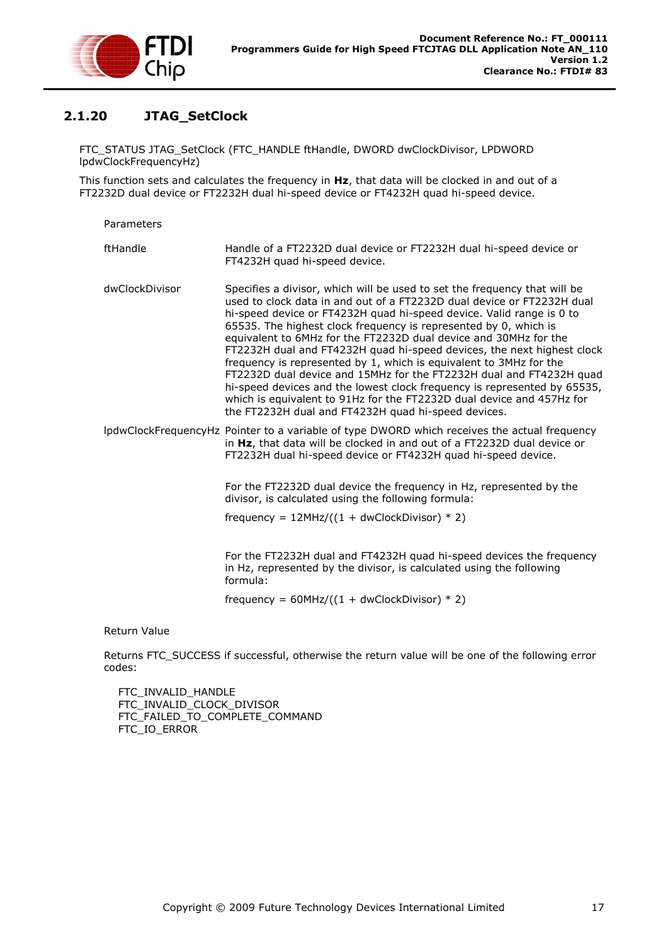

# <span id="page-17-0"></span>**2.1.20 JTAG\_SetClock**

FTC\_STATUS JTAG\_SetClock (FTC\_HANDLE ftHandle, DWORD dwClockDivisor, LPDWORD lpdwClockFrequencyHz)

This function sets and calculates the frequency in **Hz**, that data will be clocked in and out of a FT2232D dual device or FT2232H dual hi-speed device or FT4232H quad hi-speed device.

Parameters

| ftHandle | Handle of a FT2232D dual device or FT2232H dual hi-speed device or |
|----------|--------------------------------------------------------------------|
|          | FT4232H guad hi-speed device.                                      |

- dwClockDivisor Specifies a divisor, which will be used to set the frequency that will be used to clock data in and out of a FT2232D dual device or FT2232H dual hi-speed device or FT4232H quad hi-speed device. Valid range is 0 to 65535. The highest clock frequency is represented by 0, which is equivalent to 6MHz for the FT2232D dual device and 30MHz for the FT2232H dual and FT4232H quad hi-speed devices, the next highest clock frequency is represented by 1, which is equivalent to 3MHz for the FT2232D dual device and 15MHz for the FT2232H dual and FT4232H quad hi-speed devices and the lowest clock frequency is represented by 65535, which is equivalent to 91Hz for the FT2232D dual device and 457Hz for the FT2232H dual and FT4232H quad hi-speed devices.
- lpdwClockFrequencyHz Pointer to a variable of type DWORD which receives the actual frequency in **Hz**, that data will be clocked in and out of a FT2232D dual device or FT2232H dual hi-speed device or FT4232H quad hi-speed device.

For the FT2232D dual device the frequency in Hz, represented by the divisor, is calculated using the following formula:

frequency =  $12MHz/((1 + dwClockDivisor) * 2)$ 

For the FT2232H dual and FT4232H quad hi-speed devices the frequency in Hz, represented by the divisor, is calculated using the following formula:

frequency =  $60$ MHz/ $((1 + dwClockDivisor) * 2)$ 

Return Value

Returns FTC\_SUCCESS if successful, otherwise the return value will be one of the following error codes:

 FTC\_INVALID\_HANDLE FTC\_INVALID\_CLOCK\_DIVISOR FTC\_FAILED\_TO\_COMPLETE\_COMMAND FTC\_IO\_ERROR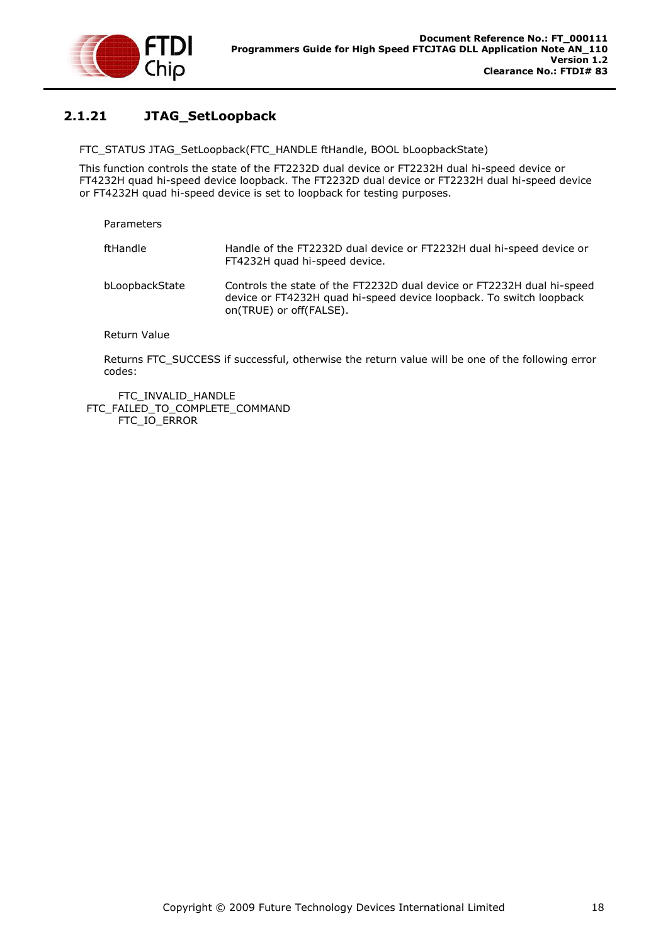

# <span id="page-18-0"></span>**2.1.21 JTAG\_SetLoopback**

FTC\_STATUS JTAG\_SetLoopback(FTC\_HANDLE ftHandle, BOOL bLoopbackState)

This function controls the state of the FT2232D dual device or FT2232H dual hi-speed device or FT4232H quad hi-speed device loopback. The FT2232D dual device or FT2232H dual hi-speed device or FT4232H quad hi-speed device is set to loopback for testing purposes.

| Parameters     |                                                                                                                                                                          |
|----------------|--------------------------------------------------------------------------------------------------------------------------------------------------------------------------|
| ftHandle       | Handle of the FT2232D dual device or FT2232H dual hi-speed device or<br>FT4232H quad hi-speed device.                                                                    |
| bLoopbackState | Controls the state of the FT2232D dual device or FT2232H dual hi-speed<br>device or FT4232H quad hi-speed device loopback. To switch loopback<br>on(TRUE) or off(FALSE). |
| Return Value   |                                                                                                                                                                          |

Returns FTC\_SUCCESS if successful, otherwise the return value will be one of the following error codes:

FTC\_INVALID\_HANDLE FTC\_FAILED\_TO\_COMPLETE\_COMMAND FTC\_IO\_ERROR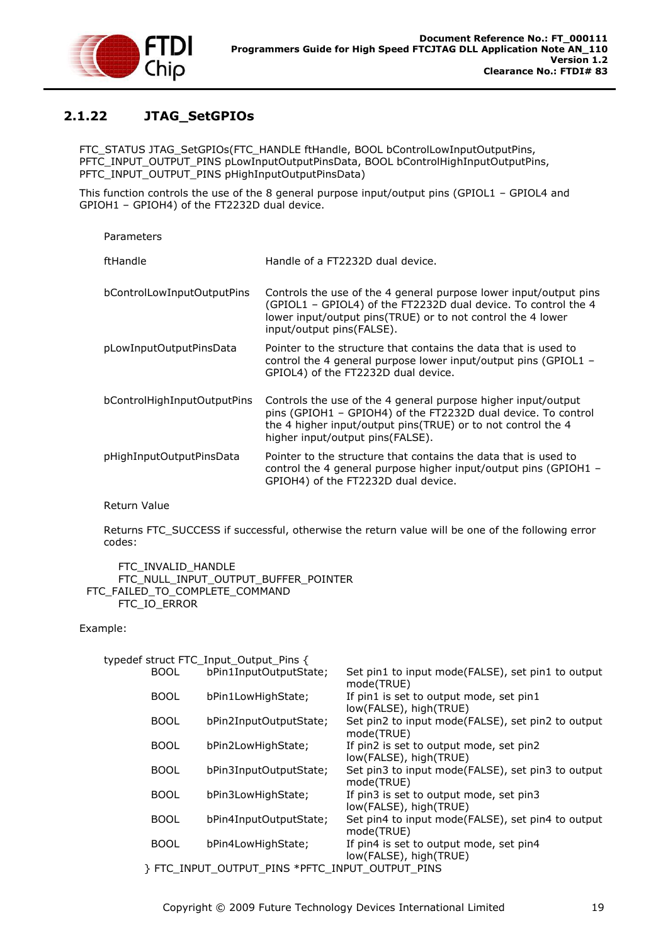

# <span id="page-19-0"></span>**2.1.22 JTAG\_SetGPIOs**

FTC\_STATUS JTAG\_SetGPIOs(FTC\_HANDLE ftHandle, BOOL bControlLowInputOutputPins, PFTC\_INPUT\_OUTPUT\_PINS pLowInputOutputPinsData, BOOL bControlHighInputOutputPins, PFTC\_INPUT\_OUTPUT\_PINS pHighInputOutputPinsData)

This function controls the use of the 8 general purpose input/output pins (GPIOL1 – GPIOL4 and GPIOH1 – GPIOH4) of the FT2232D dual device.

| Parameters                  |                                                                                                                                                                                                                                    |
|-----------------------------|------------------------------------------------------------------------------------------------------------------------------------------------------------------------------------------------------------------------------------|
| ftHandle                    | Handle of a FT2232D dual device.                                                                                                                                                                                                   |
| bControlLowInputOutputPins  | Controls the use of the 4 general purpose lower input/output pins<br>(GPIOL1 - GPIOL4) of the FT2232D dual device. To control the 4<br>lower input/output pins(TRUE) or to not control the 4 lower<br>input/output pins(FALSE).    |
| pLowInputOutputPinsData     | Pointer to the structure that contains the data that is used to<br>control the 4 general purpose lower input/output pins (GPIOL1 -<br>GPIOL4) of the FT2232D dual device.                                                          |
| bControlHighInputOutputPins | Controls the use of the 4 general purpose higher input/output<br>pins (GPIOH1 - GPIOH4) of the FT2232D dual device. To control<br>the 4 higher input/output pins(TRUE) or to not control the 4<br>higher input/output pins(FALSE). |
| pHighInputOutputPinsData    | Pointer to the structure that contains the data that is used to<br>control the 4 general purpose higher input/output pins (GPIOH1 $-$<br>GPIOH4) of the FT2232D dual device.                                                       |

Return Value

Returns FTC\_SUCCESS if successful, otherwise the return value will be one of the following error codes:

 FTC\_INVALID\_HANDLE FTC\_NULL\_INPUT\_OUTPUT\_BUFFER\_POINTER FTC\_FAILED\_TO\_COMPLETE\_COMMAND FTC\_IO\_ERROR

Example:

|             | typedef struct FTC_Input_Output_Pins {        |                                                                   |
|-------------|-----------------------------------------------|-------------------------------------------------------------------|
| <b>BOOL</b> | bPin1InputOutputState;                        | Set pin1 to input mode(FALSE), set pin1 to output<br>mode(TRUE)   |
| <b>BOOL</b> | bPin1LowHighState;                            | If pin1 is set to output mode, set pin1<br>low(FALSE), high(TRUE) |
| <b>BOOL</b> | bPin2InputOutputState;                        | Set pin2 to input mode(FALSE), set pin2 to output<br>mode(TRUE)   |
| <b>BOOL</b> | bPin2LowHighState;                            | If pin2 is set to output mode, set pin2<br>low(FALSE), high(TRUE) |
| <b>BOOL</b> | bPin3InputOutputState;                        | Set pin3 to input mode(FALSE), set pin3 to output<br>mode(TRUE)   |
| <b>BOOL</b> | bPin3LowHighState;                            | If pin3 is set to output mode, set pin3<br>low(FALSE), high(TRUE) |
| <b>BOOL</b> | bPin4InputOutputState;                        | Set pin4 to input mode(FALSE), set pin4 to output<br>mode(TRUE)   |
| <b>BOOL</b> | bPin4LowHighState;                            | If pin4 is set to output mode, set pin4<br>low(FALSE), high(TRUE) |
|             | FTC INPUT OUTPUT PINS *PFTC INPUT OUTPUT PINS |                                                                   |

Copyright © 2009 Future Technology Devices International Limited 19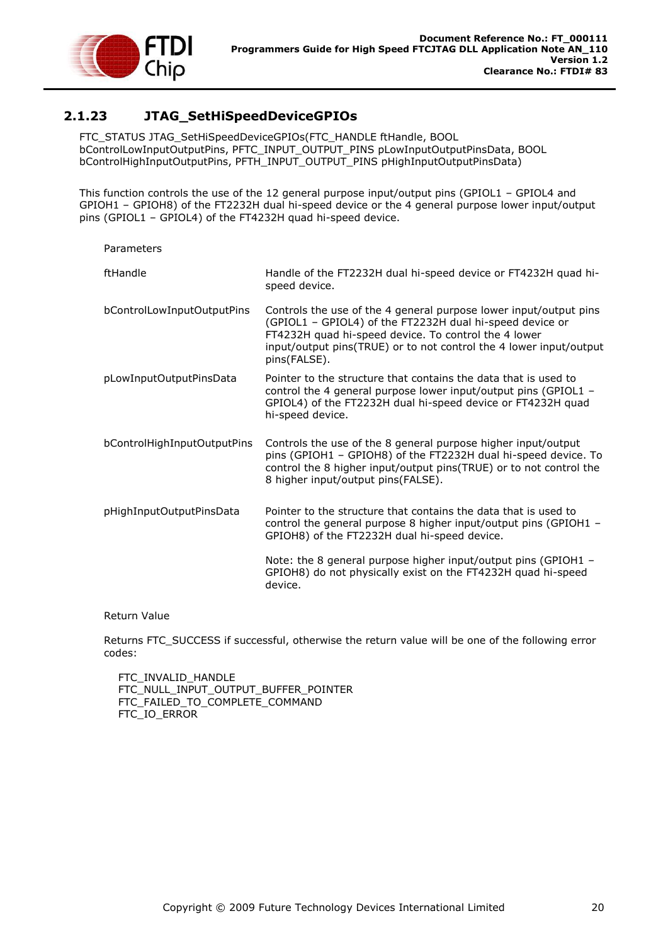

# <span id="page-20-0"></span>**2.1.23 JTAG\_SetHiSpeedDeviceGPIOs**

FTC\_STATUS JTAG\_SetHiSpeedDeviceGPIOs(FTC\_HANDLE ftHandle, BOOL bControlLowInputOutputPins, PFTC\_INPUT\_OUTPUT\_PINS pLowInputOutputPinsData, BOOL bControlHighInputOutputPins, PFTH\_INPUT\_OUTPUT\_PINS pHighInputOutputPinsData)

This function controls the use of the 12 general purpose input/output pins (GPIOL1 – GPIOL4 and GPIOH1 – GPIOH8) of the FT2232H dual hi-speed device or the 4 general purpose lower input/output pins (GPIOL1 – GPIOL4) of the FT4232H quad hi-speed device.

| ftHandle                    | Handle of the FT2232H dual hi-speed device or FT4232H quad hi-<br>speed device.                                                                                                                                                                                             |
|-----------------------------|-----------------------------------------------------------------------------------------------------------------------------------------------------------------------------------------------------------------------------------------------------------------------------|
| bControlLowInputOutputPins  | Controls the use of the 4 general purpose lower input/output pins<br>(GPIOL1 - GPIOL4) of the FT2232H dual hi-speed device or<br>FT4232H quad hi-speed device. To control the 4 lower<br>input/output pins(TRUE) or to not control the 4 lower input/output<br>pins(FALSE). |
| pLowInputOutputPinsData     | Pointer to the structure that contains the data that is used to<br>control the 4 general purpose lower input/output pins (GPIOL1 -<br>GPIOL4) of the FT2232H dual hi-speed device or FT4232H quad<br>hi-speed device.                                                       |
| bControlHighInputOutputPins | Controls the use of the 8 general purpose higher input/output<br>pins (GPIOH1 - GPIOH8) of the FT2232H dual hi-speed device. To<br>control the 8 higher input/output pins(TRUE) or to not control the<br>8 higher input/output pins(FALSE).                                 |
| pHighInputOutputPinsData    | Pointer to the structure that contains the data that is used to<br>control the general purpose 8 higher input/output pins (GPIOH1 -<br>GPIOH8) of the FT2232H dual hi-speed device.                                                                                         |
|                             | Note: the 8 general purpose higher input/output pins (GPIOH1 -<br>GPIOH8) do not physically exist on the FT4232H quad hi-speed<br>device.                                                                                                                                   |

#### Return Value

Returns FTC\_SUCCESS if successful, otherwise the return value will be one of the following error codes:

FTC\_INVALID\_HANDLE FTC\_NULL\_INPUT\_OUTPUT\_BUFFER\_POINTER FTC\_FAILED\_TO\_COMPLETE\_COMMAND FTC\_IO\_ERROR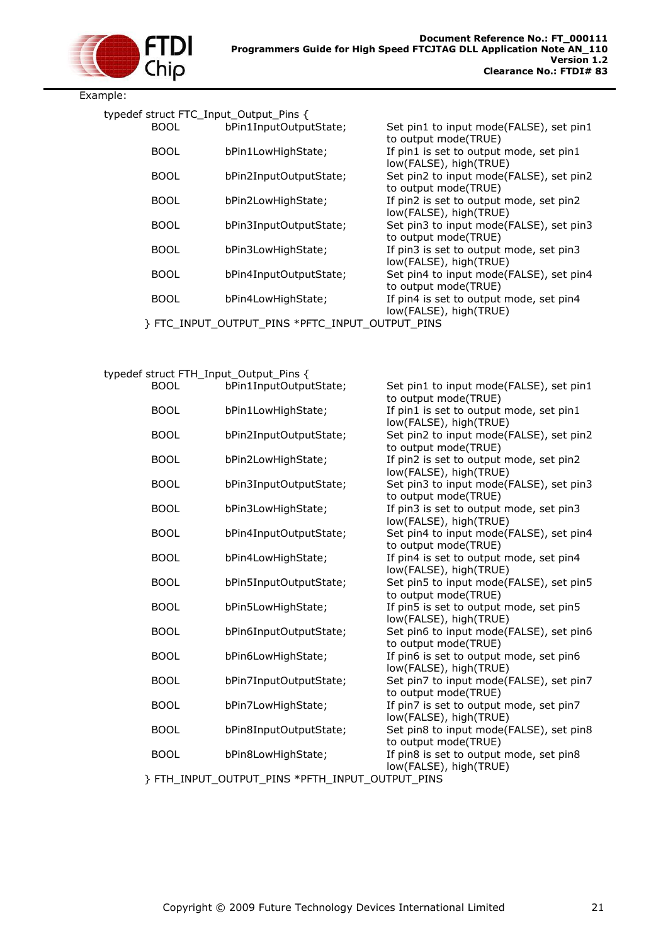

Example:

| typedef struct FTC_Input_Output_Pins { |                                               |                                                                   |
|----------------------------------------|-----------------------------------------------|-------------------------------------------------------------------|
| <b>BOOL</b>                            | bPin1InputOutputState;                        | Set pin1 to input mode(FALSE), set pin1<br>to output mode(TRUE)   |
| <b>BOOL</b>                            | bPin1LowHighState;                            | If pin1 is set to output mode, set pin1<br>low(FALSE), high(TRUE) |
| <b>BOOL</b>                            | bPin2InputOutputState;                        | Set pin2 to input mode(FALSE), set pin2<br>to output mode(TRUE)   |
| <b>BOOL</b>                            | bPin2LowHighState;                            | If pin2 is set to output mode, set pin2<br>low(FALSE), high(TRUE) |
| <b>BOOL</b>                            | bPin3InputOutputState;                        | Set pin3 to input mode(FALSE), set pin3<br>to output mode(TRUE)   |
| <b>BOOL</b>                            | bPin3LowHighState;                            | If pin3 is set to output mode, set pin3<br>low(FALSE), high(TRUE) |
| <b>BOOL</b>                            | bPin4InputOutputState;                        | Set pin4 to input mode(FALSE), set pin4<br>to output mode(TRUE)   |
| <b>BOOL</b>                            | bPin4LowHighState;                            | If pin4 is set to output mode, set pin4<br>low(FALSE), high(TRUE) |
|                                        | FTC INPUT OUTPUT PINS *PFTC INPUT OUTPUT PINS |                                                                   |

#### typedef struct FTH\_Input\_Output\_Pins {

| <b>BOOL</b> | bPin1InputOutputState;                        | Set pin1 to input mode(FALSE), set pin1<br>to output mode(TRUE)   |
|-------------|-----------------------------------------------|-------------------------------------------------------------------|
| <b>BOOL</b> | bPin1LowHighState;                            | If pin1 is set to output mode, set pin1                           |
| <b>BOOL</b> | bPin2InputOutputState;                        | low(FALSE), high(TRUE)<br>Set pin2 to input mode(FALSE), set pin2 |
| <b>BOOL</b> | bPin2LowHighState;                            | to output mode(TRUE)<br>If pin2 is set to output mode, set pin2   |
|             |                                               | low(FALSE), high(TRUE)                                            |
| <b>BOOL</b> | bPin3InputOutputState;                        | Set pin3 to input mode(FALSE), set pin3<br>to output mode(TRUE)   |
| <b>BOOL</b> | bPin3LowHighState;                            | If pin3 is set to output mode, set pin3                           |
|             |                                               | low(FALSE), high(TRUE)                                            |
| <b>BOOL</b> | bPin4InputOutputState;                        | Set pin4 to input mode(FALSE), set pin4<br>to output mode(TRUE)   |
| <b>BOOL</b> | bPin4LowHighState;                            | If pin4 is set to output mode, set pin4                           |
| <b>BOOL</b> | bPin5InputOutputState;                        | low(FALSE), high(TRUE)<br>Set pin5 to input mode(FALSE), set pin5 |
|             |                                               | to output mode(TRUE)                                              |
| <b>BOOL</b> | bPin5LowHighState;                            | If pin5 is set to output mode, set pin5                           |
|             |                                               | low(FALSE), high(TRUE)                                            |
| <b>BOOL</b> | bPin6InputOutputState;                        | Set pin6 to input mode(FALSE), set pin6<br>to output mode(TRUE)   |
| <b>BOOL</b> | bPin6LowHighState;                            | If pin6 is set to output mode, set pin6                           |
|             |                                               | low(FALSE), high(TRUE)                                            |
| <b>BOOL</b> | bPin7InputOutputState;                        | Set pin7 to input mode(FALSE), set pin7                           |
|             |                                               | to output mode(TRUE)                                              |
| <b>BOOL</b> | bPin7LowHighState;                            | If pin7 is set to output mode, set pin7                           |
|             |                                               | low(FALSE), high(TRUE)                                            |
| <b>BOOL</b> | bPin8InputOutputState;                        | Set pin8 to input mode(FALSE), set pin8                           |
|             |                                               | to output mode(TRUE)                                              |
| <b>BOOL</b> | bPin8LowHighState;                            | If pin8 is set to output mode, set pin8                           |
|             | FTH INPUT OUTPUT PINS *PFTH INPUT OUTPUT PINS | low(FALSE), high(TRUE)                                            |
|             |                                               |                                                                   |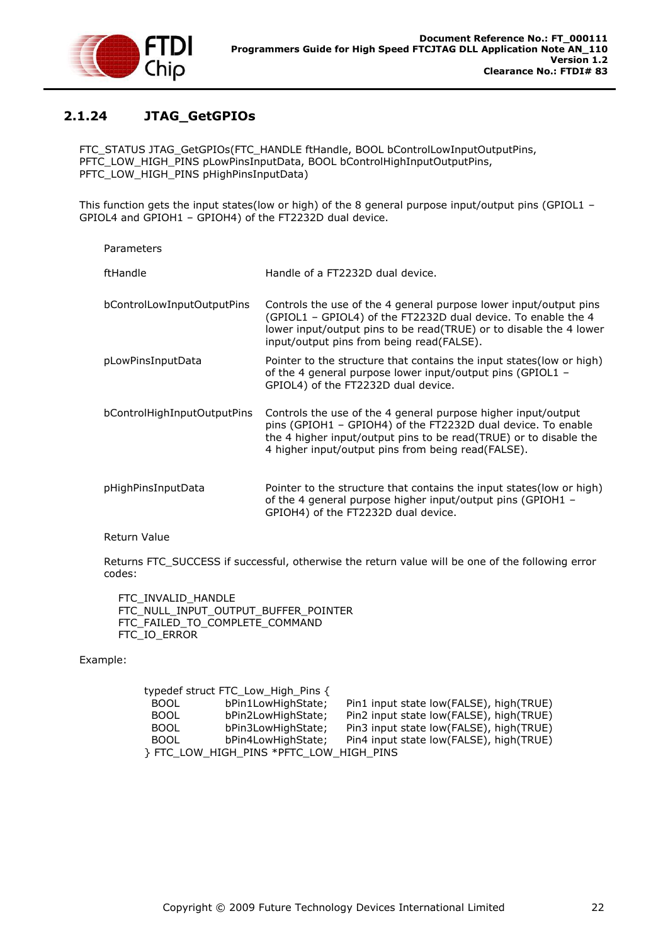

# <span id="page-22-0"></span>**2.1.24 JTAG\_GetGPIOs**

FTC\_STATUS JTAG\_GetGPIOs(FTC\_HANDLE ftHandle, BOOL bControlLowInputOutputPins, PFTC\_LOW\_HIGH\_PINS pLowPinsInputData, BOOL bControlHighInputOutputPins, PFTC\_LOW\_HIGH\_PINS pHighPinsInputData)

This function gets the input states(low or high) of the 8 general purpose input/output pins (GPIOL1 – GPIOL4 and GPIOH1 – GPIOH4) of the FT2232D dual device.

| Parameters                  |                                                                                                                                                                                                                                                          |
|-----------------------------|----------------------------------------------------------------------------------------------------------------------------------------------------------------------------------------------------------------------------------------------------------|
| ftHandle                    | Handle of a FT2232D dual device.                                                                                                                                                                                                                         |
| bControlLowInputOutputPins  | Controls the use of the 4 general purpose lower input/output pins<br>(GPIOL1 - GPIOL4) of the FT2232D dual device. To enable the 4<br>lower input/output pins to be read(TRUE) or to disable the 4 lower<br>input/output pins from being read(FALSE).    |
| pLowPinsInputData           | Pointer to the structure that contains the input states (low or high)<br>of the 4 general purpose lower input/output pins (GPIOL1 -<br>GPIOL4) of the FT2232D dual device.                                                                               |
| bControlHighInputOutputPins | Controls the use of the 4 general purpose higher input/output<br>pins (GPIOH1 - GPIOH4) of the FT2232D dual device. To enable<br>the 4 higher input/output pins to be read(TRUE) or to disable the<br>4 higher input/output pins from being read(FALSE). |
| pHighPinsInputData          | Pointer to the structure that contains the input states (low or high)<br>of the 4 general purpose higher input/output pins (GPIOH1 -<br>GPIOH4) of the FT2232D dual device.                                                                              |

Return Value

Returns FTC\_SUCCESS if successful, otherwise the return value will be one of the following error codes:

FTC\_INVALID\_HANDLE FTC\_NULL\_INPUT\_OUTPUT\_BUFFER\_POINTER FTC\_FAILED\_TO\_COMPLETE\_COMMAND FTC\_IO\_ERROR

### Example:

|             | typedef struct FTC_Low_High_Pins {    |                                         |
|-------------|---------------------------------------|-----------------------------------------|
| <b>BOOL</b> | bPin1LowHighState;                    | Pin1 input state low(FALSE), high(TRUE) |
| <b>BOOL</b> | bPin2LowHighState;                    | Pin2 input state low(FALSE), high(TRUE) |
| <b>BOOL</b> | bPin3LowHighState;                    | Pin3 input state low(FALSE), high(TRUE) |
| <b>BOOL</b> | bPin4LowHighState;                    | Pin4 input state low(FALSE), high(TRUE) |
|             | FTC LOW HIGH PINS *PFTC LOW HIGH PINS |                                         |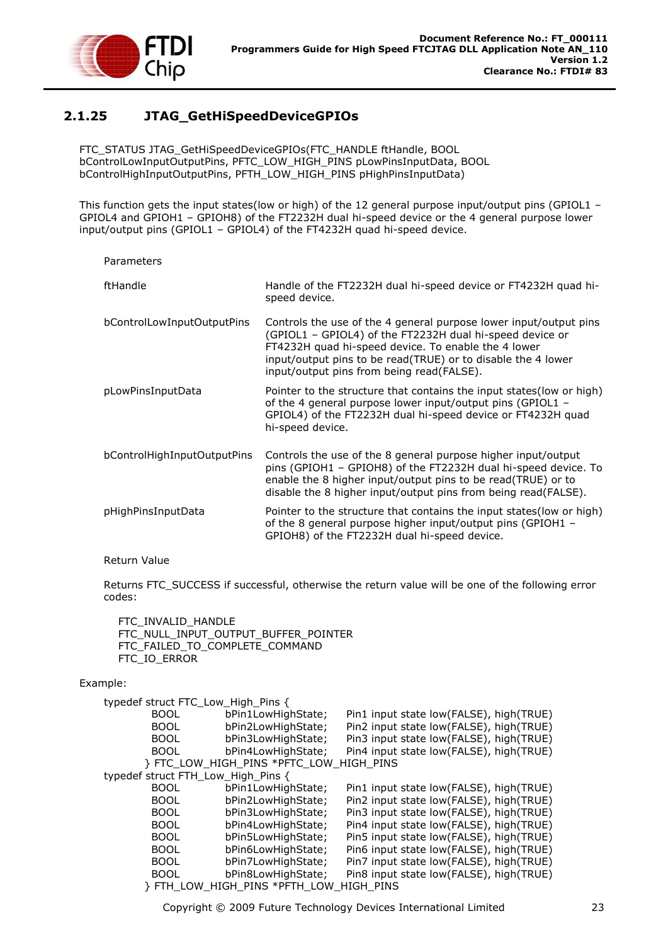

# <span id="page-23-0"></span>**2.1.25 JTAG\_GetHiSpeedDeviceGPIOs**

FTC\_STATUS JTAG\_GetHiSpeedDeviceGPIOs(FTC\_HANDLE ftHandle, BOOL bControlLowInputOutputPins, PFTC\_LOW\_HIGH\_PINS pLowPinsInputData, BOOL bControlHighInputOutputPins, PFTH\_LOW\_HIGH\_PINS pHighPinsInputData)

This function gets the input states(low or high) of the 12 general purpose input/output pins (GPIOL1 – GPIOL4 and GPIOH1 – GPIOH8) of the FT2232H dual hi-speed device or the 4 general purpose lower input/output pins (GPIOL1 – GPIOL4) of the FT4232H quad hi-speed device.

| Parameters                  |                                                                                                                                                                                                                                                                                                   |
|-----------------------------|---------------------------------------------------------------------------------------------------------------------------------------------------------------------------------------------------------------------------------------------------------------------------------------------------|
| ftHandle                    | Handle of the FT2232H dual hi-speed device or FT4232H quad hi-<br>speed device.                                                                                                                                                                                                                   |
| bControlLowInputOutputPins  | Controls the use of the 4 general purpose lower input/output pins<br>(GPIOL1 - GPIOL4) of the FT2232H dual hi-speed device or<br>FT4232H quad hi-speed device. To enable the 4 lower<br>input/output pins to be read(TRUE) or to disable the 4 lower<br>input/output pins from being read(FALSE). |
| pLowPinsInputData           | Pointer to the structure that contains the input states (low or high)<br>of the 4 general purpose lower input/output pins (GPIOL1 $-$<br>GPIOL4) of the FT2232H dual hi-speed device or FT4232H quad<br>hi-speed device.                                                                          |
| bControlHighInputOutputPins | Controls the use of the 8 general purpose higher input/output<br>pins (GPIOH1 - GPIOH8) of the FT2232H dual hi-speed device. To<br>enable the 8 higher input/output pins to be read(TRUE) or to<br>disable the 8 higher input/output pins from being read(FALSE).                                 |
| pHighPinsInputData          | Pointer to the structure that contains the input states (low or high)<br>of the 8 general purpose higher input/output pins (GPIOH1 -<br>GPIOH8) of the FT2232H dual hi-speed device.                                                                                                              |

#### Return Value

Returns FTC\_SUCCESS if successful, otherwise the return value will be one of the following error codes:

 FTC\_INVALID\_HANDLE FTC\_NULL\_INPUT\_OUTPUT\_BUFFER\_POINTER FTC\_FAILED\_TO\_COMPLETE\_COMMAND FTC\_IO\_ERROR

#### Example:

| typedef struct FTC_Low_High_Pins { |                                       |                                         |
|------------------------------------|---------------------------------------|-----------------------------------------|
|                                    |                                       |                                         |
| <b>BOOL</b>                        | bPin1LowHighState;                    | Pin1 input state low(FALSE), high(TRUE) |
| <b>BOOL</b>                        | bPin2LowHighState;                    | Pin2 input state low(FALSE), high(TRUE) |
| <b>BOOL</b>                        | bPin3LowHighState;                    | Pin3 input state low(FALSE), high(TRUE) |
| <b>BOOL</b>                        | bPin4LowHighState;                    | Pin4 input state low(FALSE), high(TRUE) |
|                                    | FTC LOW HIGH PINS *PFTC LOW HIGH PINS |                                         |
| typedef struct FTH_Low_High_Pins { |                                       |                                         |
| <b>BOOL</b>                        | bPin1LowHighState;                    | Pin1 input state low(FALSE), high(TRUE) |
| <b>BOOL</b>                        | bPin2LowHighState;                    | Pin2 input state low(FALSE), high(TRUE) |
| <b>BOOL</b>                        | bPin3LowHighState;                    | Pin3 input state low(FALSE), high(TRUE) |
| <b>BOOL</b>                        | bPin4LowHighState;                    | Pin4 input state low(FALSE), high(TRUE) |
| <b>BOOL</b>                        | bPin5LowHighState;                    | Pin5 input state low(FALSE), high(TRUE) |
| <b>BOOL</b>                        | bPin6LowHighState:                    | Pin6 input state low(FALSE), high(TRUE) |
| <b>BOOL</b>                        | bPin7LowHighState;                    | Pin7 input state low(FALSE), high(TRUE) |
| <b>BOOL</b>                        | bPin8LowHighState;                    | Pin8 input state low(FALSE), high(TRUE) |
|                                    |                                       | <b>HIGH PINS</b>                        |

Copyright © 2009 Future Technology Devices International Limited 23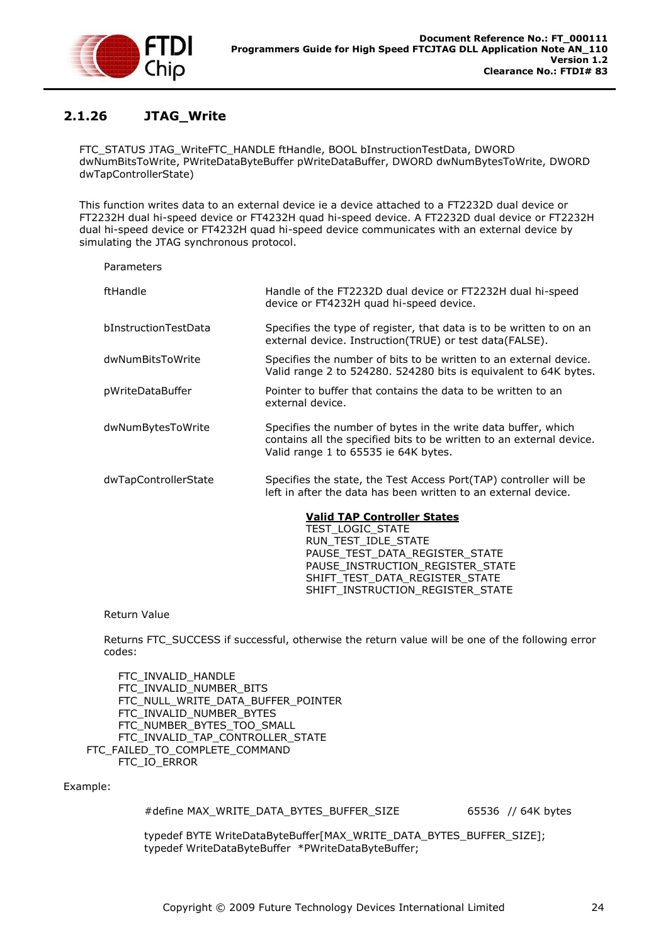

# <span id="page-24-0"></span>**2.1.26 JTAG\_Write**

FTC\_STATUS JTAG\_WriteFTC\_HANDLE ftHandle, BOOL bInstructionTestData, DWORD dwNumBitsToWrite, PWriteDataByteBuffer pWriteDataBuffer, DWORD dwNumBytesToWrite, DWORD dwTapControllerState)

This function writes data to an external device ie a device attached to a FT2232D dual device or FT2232H dual hi-speed device or FT4232H quad hi-speed device. A FT2232D dual device or FT2232H dual hi-speed device or FT4232H quad hi-speed device communicates with an external device by simulating the JTAG synchronous protocol.

Parameters ftHandle Handle of the FT2232D dual device or FT2232H dual hi-speed device or FT4232H quad hi-speed device. bInstructionTestData Specifies the type of register, that data is to be written to on an external device. Instruction(TRUE) or test data(FALSE). dwNumBitsToWrite Specifies the number of bits to be written to an external device. Valid range 2 to 524280. 524280 bits is equivalent to 64K bytes. pWriteDataBuffer **Pointer to buffer that contains the data to be written to an** external device. dwNumBytesToWrite Specifies the number of bytes in the write data buffer, which contains all the specified bits to be written to an external device. Valid range 1 to 65535 ie 64K bytes. dwTapControllerState Specifies the state, the Test Access Port(TAP) controller will be left in after the data has been written to an external device.

### **Valid TAP Controller States**

TEST\_LOGIC\_STATE RUN\_TEST\_IDLE\_STATE PAUSE\_TEST\_DATA\_REGISTER\_STATE PAUSE\_INSTRUCTION\_REGISTER\_STATE SHIFT\_TEST\_DATA\_REGISTER\_STATE SHIFT\_INSTRUCTION\_REGISTER\_STATE

#### Return Value

Returns FTC\_SUCCESS if successful, otherwise the return value will be one of the following error codes:

 FTC\_INVALID\_HANDLE FTC\_INVALID\_NUMBER\_BITS FTC\_NULL\_WRITE\_DATA\_BUFFER\_POINTER FTC\_INVALID\_NUMBER\_BYTES FTC\_NUMBER\_BYTES\_TOO\_SMALL FTC\_INVALID\_TAP\_CONTROLLER\_STATE FTC\_FAILED\_TO\_COMPLETE\_COMMAND FTC\_IO\_ERROR

Example:

#define MAX\_WRITE\_DATA\_BYTES\_BUFFER\_SIZE 65536 // 64K bytes

typedef BYTE WriteDataByteBuffer[MAX\_WRITE\_DATA\_BYTES\_BUFFER\_SIZE]; typedef WriteDataByteBuffer \*PWriteDataByteBuffer;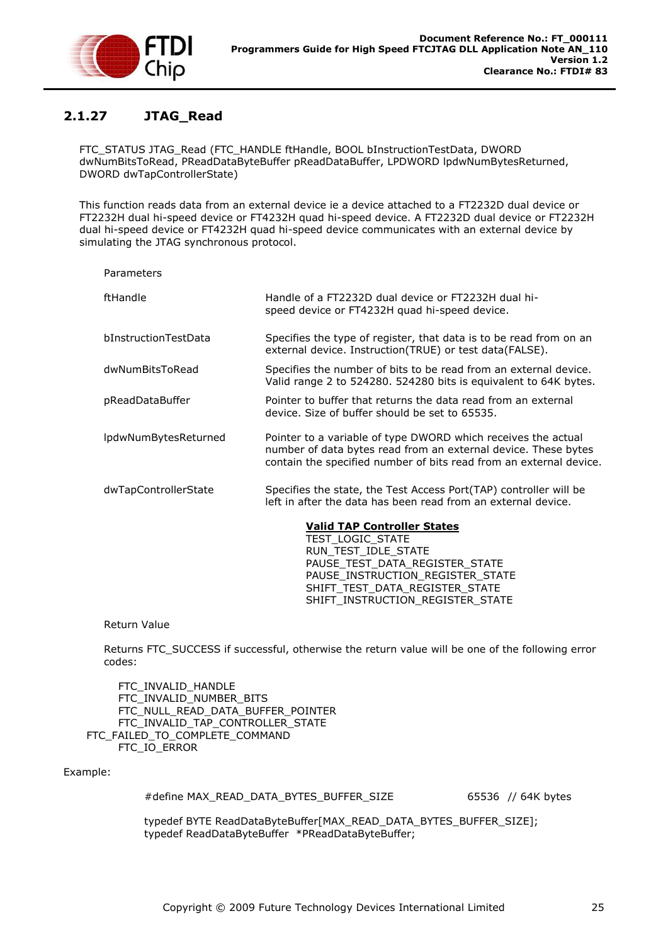

## <span id="page-25-0"></span>**2.1.27 JTAG\_Read**

FTC\_STATUS JTAG\_Read (FTC\_HANDLE ftHandle, BOOL bInstructionTestData, DWORD dwNumBitsToRead, PReadDataByteBuffer pReadDataBuffer, LPDWORD lpdwNumBytesReturned, DWORD dwTapControllerState)

This function reads data from an external device ie a device attached to a FT2232D dual device or FT2232H dual hi-speed device or FT4232H quad hi-speed device. A FT2232D dual device or FT2232H dual hi-speed device or FT4232H quad hi-speed device communicates with an external device by simulating the JTAG synchronous protocol.

| Parameters           |                                                                                                                                                                                                       |
|----------------------|-------------------------------------------------------------------------------------------------------------------------------------------------------------------------------------------------------|
| ftHandle             | Handle of a FT2232D dual device or FT2232H dual hi-<br>speed device or FT4232H quad hi-speed device.                                                                                                  |
| bInstructionTestData | Specifies the type of register, that data is to be read from on an<br>external device. Instruction(TRUE) or test data(FALSE).                                                                         |
| dwNumBitsToRead      | Specifies the number of bits to be read from an external device.<br>Valid range 2 to 524280. 524280 bits is equivalent to 64K bytes.                                                                  |
| pReadDataBuffer      | Pointer to buffer that returns the data read from an external<br>device. Size of buffer should be set to 65535.                                                                                       |
| lpdwNumBytesReturned | Pointer to a variable of type DWORD which receives the actual<br>number of data bytes read from an external device. These bytes<br>contain the specified number of bits read from an external device. |
| dwTapControllerState | Specifies the state, the Test Access Port(TAP) controller will be<br>left in after the data has been read from an external device.                                                                    |
|                      | <b>Valid TAP Controller States</b><br>TEST_LOGIC_STATE<br>RUN TEST IDLE STATE<br>PAUSE TEST DATA_REGISTER_STATE                                                                                       |

Return Value

Returns FTC\_SUCCESS if successful, otherwise the return value will be one of the following error codes:

PAUSE\_INSTRUCTION\_REGISTER\_STATE SHIFT\_TEST\_DATA\_REGISTER\_STATE SHIFT\_INSTRUCTION\_REGISTER\_STATE

 FTC\_INVALID\_HANDLE FTC\_INVALID\_NUMBER\_BITS FTC\_NULL\_READ\_DATA\_BUFFER\_POINTER FTC\_INVALID\_TAP\_CONTROLLER\_STATE FTC\_FAILED\_TO\_COMPLETE\_COMMAND FTC\_IO\_ERROR

Example:

#define MAX\_READ\_DATA\_BYTES\_BUFFER\_SIZE 65536 // 64K bytes

typedef BYTE ReadDataByteBuffer[MAX\_READ\_DATA\_BYTES\_BUFFER\_SIZE]; typedef ReadDataByteBuffer \*PReadDataByteBuffer;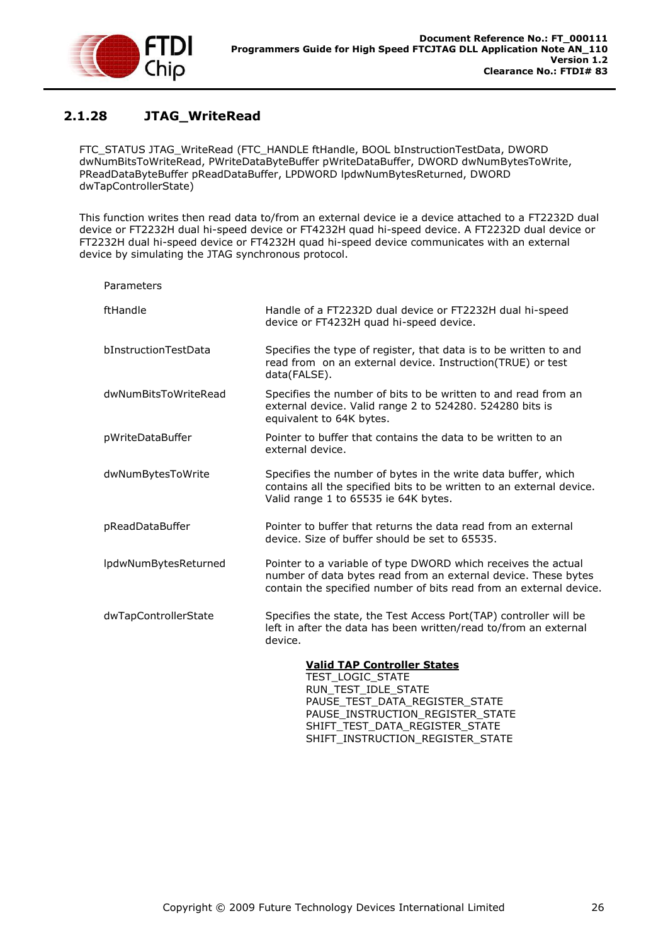

# <span id="page-26-0"></span>**2.1.28 JTAG\_WriteRead**

FTC\_STATUS JTAG\_WriteRead (FTC\_HANDLE ftHandle, BOOL bInstructionTestData, DWORD dwNumBitsToWriteRead, PWriteDataByteBuffer pWriteDataBuffer, DWORD dwNumBytesToWrite, PReadDataByteBuffer pReadDataBuffer, LPDWORD lpdwNumBytesReturned, DWORD dwTapControllerState)

This function writes then read data to/from an external device ie a device attached to a FT2232D dual device or FT2232H dual hi-speed device or FT4232H quad hi-speed device. A FT2232D dual device or FT2232H dual hi-speed device or FT4232H quad hi-speed device communicates with an external device by simulating the JTAG synchronous protocol.

| Parameters           |                                                                                                                                                                                                       |
|----------------------|-------------------------------------------------------------------------------------------------------------------------------------------------------------------------------------------------------|
| ftHandle             | Handle of a FT2232D dual device or FT2232H dual hi-speed<br>device or FT4232H quad hi-speed device.                                                                                                   |
| bInstructionTestData | Specifies the type of register, that data is to be written to and<br>read from on an external device. Instruction(TRUE) or test<br>data(FALSE).                                                       |
| dwNumBitsToWriteRead | Specifies the number of bits to be written to and read from an<br>external device. Valid range 2 to 524280. 524280 bits is<br>equivalent to 64K bytes.                                                |
| pWriteDataBuffer     | Pointer to buffer that contains the data to be written to an<br>external device.                                                                                                                      |
| dwNumBytesToWrite    | Specifies the number of bytes in the write data buffer, which<br>contains all the specified bits to be written to an external device.<br>Valid range 1 to 65535 ie 64K bytes.                         |
| pReadDataBuffer      | Pointer to buffer that returns the data read from an external<br>device. Size of buffer should be set to 65535.                                                                                       |
| lpdwNumBytesReturned | Pointer to a variable of type DWORD which receives the actual<br>number of data bytes read from an external device. These bytes<br>contain the specified number of bits read from an external device. |
| dwTapControllerState | Specifies the state, the Test Access Port(TAP) controller will be<br>left in after the data has been written/read to/from an external<br>device.                                                      |
|                      | <b>Valid TAP Controller States</b><br>TEST LOGIC STATE<br>RUN_TEST_IDLE_STATE<br>PAUSE_TEST_DATA_REGISTER_STATE<br>PAUSE_INSTRUCTION_REGISTER_STATE<br>SHIFT TEST DATA REGISTER STATE                 |

SHIFT\_INSTRUCTION\_REGISTER\_STATE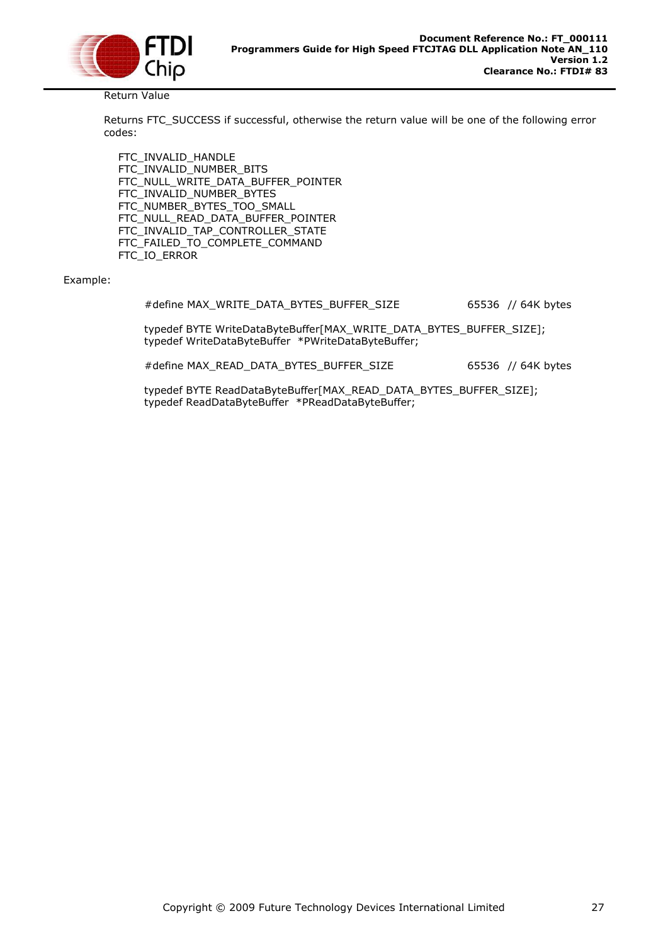

Return Value

Returns FTC\_SUCCESS if successful, otherwise the return value will be one of the following error codes:

 FTC\_INVALID\_HANDLE FTC\_INVALID\_NUMBER\_BITS FTC\_NULL\_WRITE\_DATA\_BUFFER\_POINTER FTC\_INVALID\_NUMBER\_BYTES FTC\_NUMBER\_BYTES\_TOO\_SMALL FTC\_NULL\_READ\_DATA\_BUFFER\_POINTER FTC\_INVALID\_TAP\_CONTROLLER\_STATE FTC\_FAILED\_TO\_COMPLETE\_COMMAND FTC\_IO\_ERROR

#### Example:

#define MAX\_WRITE\_DATA\_BYTES\_BUFFER\_SIZE 65536 // 64K bytes

typedef BYTE WriteDataByteBuffer[MAX\_WRITE\_DATA\_BYTES\_BUFFER\_SIZE]; typedef WriteDataByteBuffer \*PWriteDataByteBuffer;

#define MAX\_READ\_DATA\_BYTES\_BUFFER\_SIZE 65536 // 64K bytes

typedef BYTE ReadDataByteBuffer[MAX\_READ\_DATA\_BYTES\_BUFFER\_SIZE]; typedef ReadDataByteBuffer \*PReadDataByteBuffer;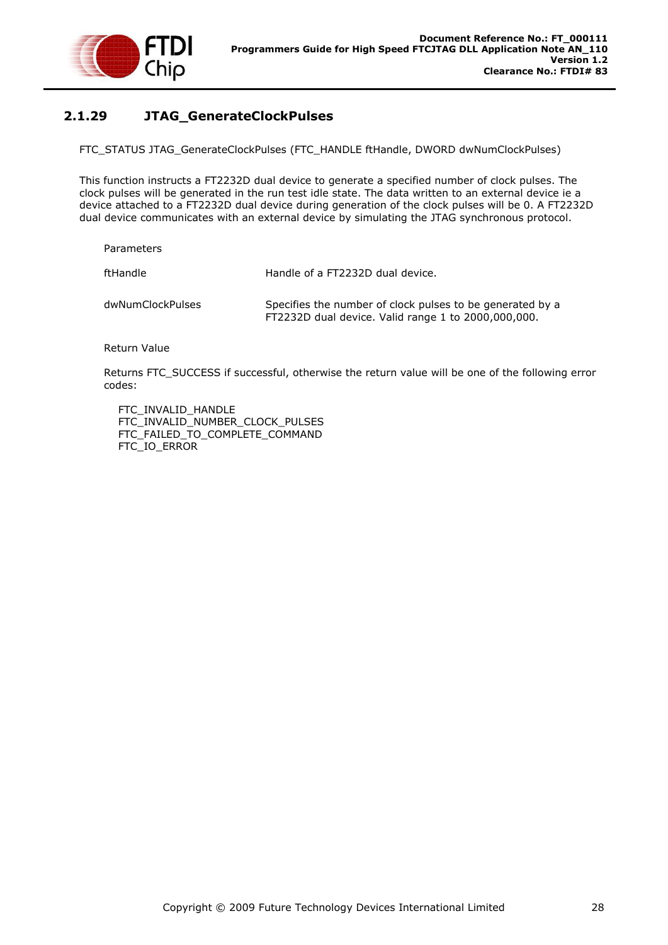

## <span id="page-28-0"></span>**2.1.29 JTAG\_GenerateClockPulses**

FTC\_STATUS JTAG\_GenerateClockPulses (FTC\_HANDLE ftHandle, DWORD dwNumClockPulses)

This function instructs a FT2232D dual device to generate a specified number of clock pulses. The clock pulses will be generated in the run test idle state. The data written to an external device ie a device attached to a FT2232D dual device during generation of the clock pulses will be 0. A FT2232D dual device communicates with an external device by simulating the JTAG synchronous protocol.

Parameters

ftHandle **Handle Handle of a FT2232D dual device.** 

dwNumClockPulses Specifies the number of clock pulses to be generated by a FT2232D dual device. Valid range 1 to 2000,000,000.

Return Value

Returns FTC\_SUCCESS if successful, otherwise the return value will be one of the following error codes:

FTC\_INVALID\_HANDLE FTC\_INVALID\_NUMBER\_CLOCK\_PULSES FTC\_FAILED\_TO\_COMPLETE\_COMMAND FTC\_IO\_ERROR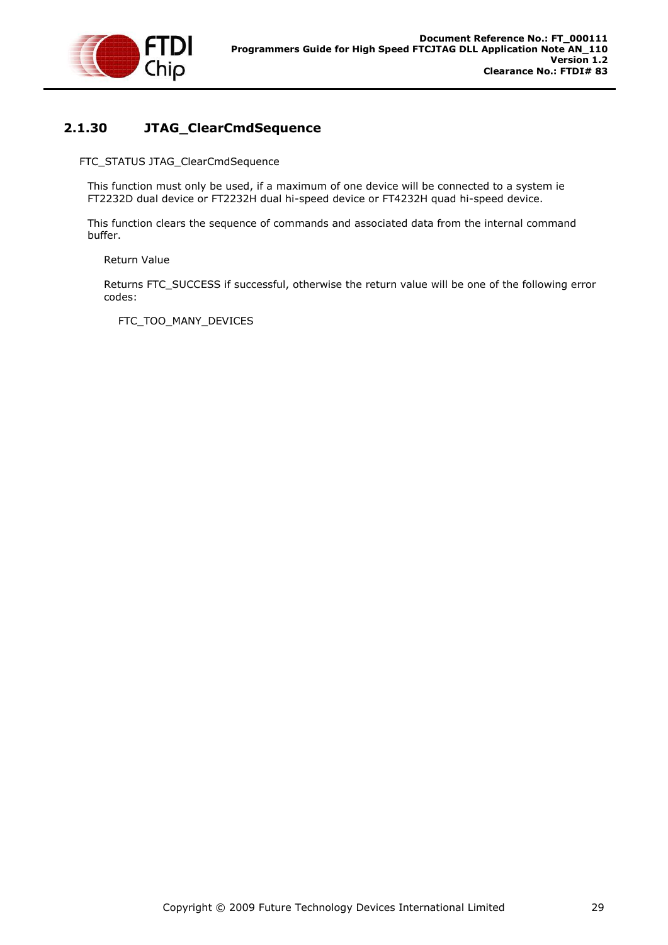

### <span id="page-29-0"></span>**2.1.30 JTAG\_ClearCmdSequence**

FTC\_STATUS JTAG\_ClearCmdSequence

This function must only be used, if a maximum of one device will be connected to a system ie FT2232D dual device or FT2232H dual hi-speed device or FT4232H quad hi-speed device.

This function clears the sequence of commands and associated data from the internal command buffer.

Return Value

Returns FTC\_SUCCESS if successful, otherwise the return value will be one of the following error codes:

FTC\_TOO\_MANY\_DEVICES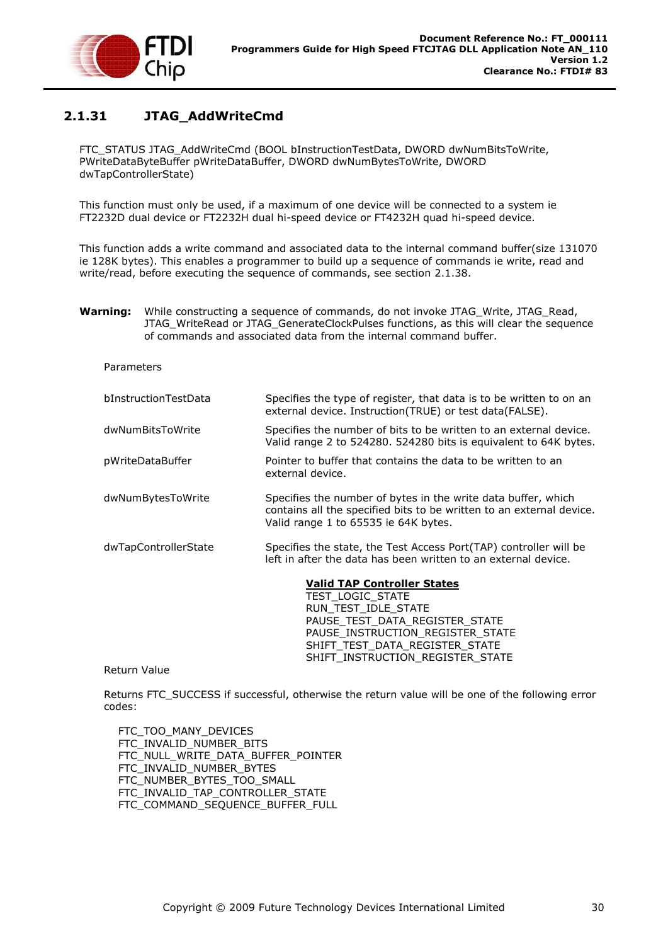

# <span id="page-30-0"></span>**2.1.31 JTAG\_AddWriteCmd**

FTC\_STATUS JTAG\_AddWriteCmd (BOOL bInstructionTestData, DWORD dwNumBitsToWrite, PWriteDataByteBuffer pWriteDataBuffer, DWORD dwNumBytesToWrite, DWORD dwTapControllerState)

This function must only be used, if a maximum of one device will be connected to a system ie FT2232D dual device or FT2232H dual hi-speed device or FT4232H quad hi-speed device.

This function adds a write command and associated data to the internal command buffer(size 131070 ie 128K bytes). This enables a programmer to build up a sequence of commands ie write, read and write/read, before executing the sequence of commands, see section [2.1.38.](#page-40-0)

**Warning:** While constructing a sequence of commands, do not invoke JTAG Write, JTAG Read, JTAG\_WriteRead or JTAG\_GenerateClockPulses functions, as this will clear the sequence of commands and associated data from the internal command buffer.

#### **Parameters**

| bInstructionTestData | Specifies the type of register, that data is to be written to on an<br>external device. Instruction(TRUE) or test data(FALSE).                                                |
|----------------------|-------------------------------------------------------------------------------------------------------------------------------------------------------------------------------|
| dwNumBitsToWrite     | Specifies the number of bits to be written to an external device.<br>Valid range 2 to 524280. 524280 bits is equivalent to 64K bytes.                                         |
| pWriteDataBuffer     | Pointer to buffer that contains the data to be written to an<br>external device.                                                                                              |
| dwNumBytesToWrite    | Specifies the number of bytes in the write data buffer, which<br>contains all the specified bits to be written to an external device.<br>Valid range 1 to 65535 ie 64K bytes. |
| dwTapControllerState | Specifies the state, the Test Access Port(TAP) controller will be<br>left in after the data has been written to an external device.                                           |
|                      | <b>Valid TAP Controller States</b>                                                                                                                                            |
|                      | TEST LOGIC STATE<br>RUN TEST IDLE STATE                                                                                                                                       |
|                      | PAUSE TEST DATA REGISTER STATE                                                                                                                                                |
|                      | PAUSE_INSTRUCTION_REGISTER_STATE                                                                                                                                              |
|                      | SHIFT TEST DATA REGISTER STATE                                                                                                                                                |
|                      |                                                                                                                                                                               |

#### Return Value

Returns FTC\_SUCCESS if successful, otherwise the return value will be one of the following error codes:

SHIFT\_INSTRUCTION\_REGISTER\_STATE

 FTC\_TOO\_MANY\_DEVICES FTC\_INVALID\_NUMBER\_BITS FTC\_NULL\_WRITE\_DATA\_BUFFER\_POINTER FTC\_INVALID\_NUMBER\_BYTES FTC\_NUMBER\_BYTES\_TOO\_SMALL FTC\_INVALID\_TAP\_CONTROLLER\_STATE FTC\_COMMAND\_SEQUENCE\_BUFFER\_FULL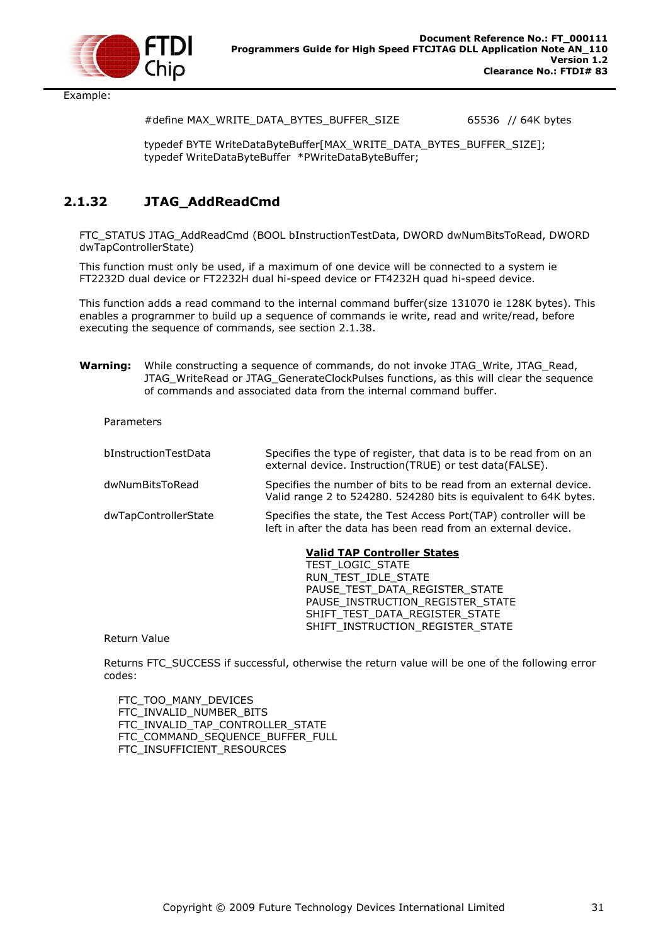

Example:

#define MAX\_WRITE\_DATA\_BYTES\_BUFFER\_SIZE 65536 // 64K bytes

typedef BYTE WriteDataByteBuffer[MAX\_WRITE\_DATA\_BYTES\_BUFFER\_SIZE]; typedef WriteDataByteBuffer \*PWriteDataByteBuffer;

### <span id="page-31-0"></span>**2.1.32 JTAG\_AddReadCmd**

FTC\_STATUS JTAG\_AddReadCmd (BOOL bInstructionTestData, DWORD dwNumBitsToRead, DWORD dwTapControllerState)

This function must only be used, if a maximum of one device will be connected to a system ie FT2232D dual device or FT2232H dual hi-speed device or FT4232H quad hi-speed device.

This function adds a read command to the internal command buffer(size 131070 ie 128K bytes). This enables a programmer to build up a sequence of commands ie write, read and write/read, before executing the sequence of commands, see section [2.1.38.](#page-40-0)

**Warning:** While constructing a sequence of commands, do not invoke JTAG\_Write, JTAG\_Read, JTAG\_WriteRead or JTAG\_GenerateClockPulses functions, as this will clear the sequence of commands and associated data from the internal command buffer.

| Parameters |
|------------|
|------------|

| bInstructionTestData | Specifies the type of register, that data is to be read from on an<br>external device. Instruction(TRUE) or test data(FALSE).                                                                |
|----------------------|----------------------------------------------------------------------------------------------------------------------------------------------------------------------------------------------|
| dwNumBitsToRead      | Specifies the number of bits to be read from an external device.<br>Valid range 2 to 524280. 524280 bits is equivalent to 64K bytes.                                                         |
| dwTapControllerState | Specifies the state, the Test Access Port(TAP) controller will be<br>left in after the data has been read from an external device.                                                           |
|                      | <b>Valid TAP Controller States</b><br><b>TEST LOGIC STATE</b><br>RUN TEST IDLE STATE<br>PAUSE TEST DATA REGISTER STATE<br>PAUSE INSTRUCTION REGISTER STATE<br>SHIFT TEST DATA REGISTER STATE |

Return Value

Returns FTC\_SUCCESS if successful, otherwise the return value will be one of the following error codes:

SHIFT\_INSTRUCTION\_REGISTER\_STATE

FTC TOO MANY DEVICES FTC\_INVALID\_NUMBER\_BITS FTC\_INVALID\_TAP\_CONTROLLER\_STATE FTC COMMAND SEQUENCE BUFFER FULL FTC\_INSUFFICIENT\_RESOURCES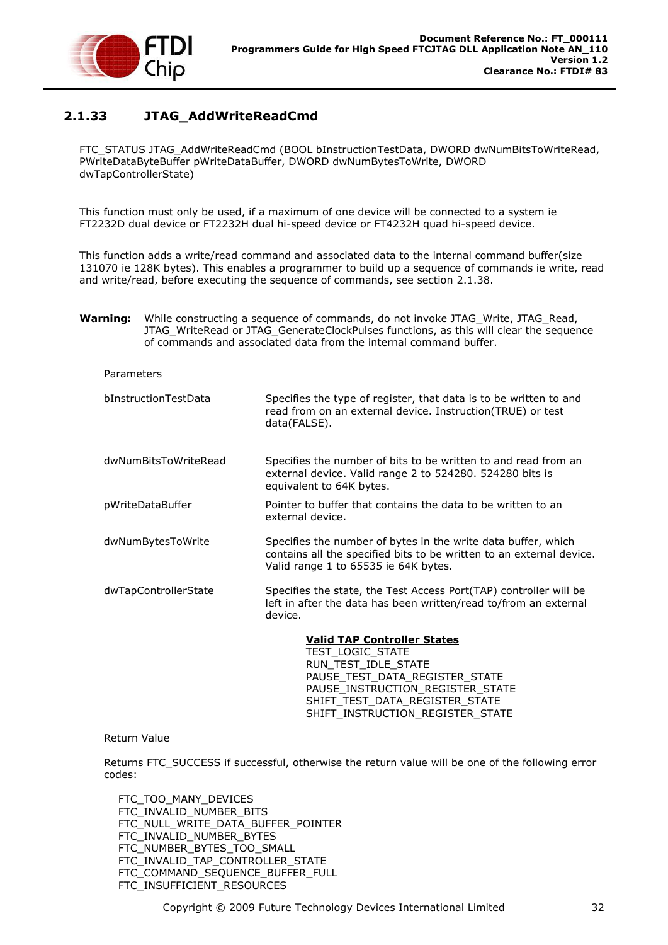

# <span id="page-32-0"></span>**2.1.33 JTAG\_AddWriteReadCmd**

FTC\_STATUS JTAG\_AddWriteReadCmd (BOOL bInstructionTestData, DWORD dwNumBitsToWriteRead, PWriteDataByteBuffer pWriteDataBuffer, DWORD dwNumBytesToWrite, DWORD dwTapControllerState)

This function must only be used, if a maximum of one device will be connected to a system ie FT2232D dual device or FT2232H dual hi-speed device or FT4232H quad hi-speed device.

This function adds a write/read command and associated data to the internal command buffer(size 131070 ie 128K bytes). This enables a programmer to build up a sequence of commands ie write, read and write/read, before executing the sequence of commands, see section [2.1.38.](#page-40-0)

**Warning:** While constructing a sequence of commands, do not invoke JTAG Write, JTAG Read, JTAG\_WriteRead or JTAG\_GenerateClockPulses functions, as this will clear the sequence of commands and associated data from the internal command buffer.

#### Parameters

| bInstructionTestData | Specifies the type of register, that data is to be written to and<br>read from on an external device. Instruction(TRUE) or test<br>data(FALSE).                               |
|----------------------|-------------------------------------------------------------------------------------------------------------------------------------------------------------------------------|
| dwNumBitsToWriteRead | Specifies the number of bits to be written to and read from an<br>external device. Valid range 2 to 524280. 524280 bits is<br>equivalent to 64K bytes.                        |
| pWriteDataBuffer     | Pointer to buffer that contains the data to be written to an<br>external device.                                                                                              |
| dwNumBytesToWrite    | Specifies the number of bytes in the write data buffer, which<br>contains all the specified bits to be written to an external device.<br>Valid range 1 to 65535 ie 64K bytes. |
| dwTapControllerState | Specifies the state, the Test Access Port (TAP) controller will be<br>left in after the data has been written/read to/from an external<br>device.                             |

**Valid TAP Controller States** TEST\_LOGIC\_STATE RUN\_TEST\_IDLE\_STATE PAUSE TEST DATA REGISTER STATE PAUSE\_INSTRUCTION\_REGISTER\_STATE SHIFT\_TEST\_DATA\_REGISTER\_STATE SHIFT\_INSTRUCTION\_REGISTER\_STATE

#### Return Value

Returns FTC\_SUCCESS if successful, otherwise the return value will be one of the following error codes:

 FTC\_TOO\_MANY\_DEVICES FTC\_INVALID\_NUMBER\_BITS FTC\_NULL\_WRITE\_DATA\_BUFFER\_POINTER FTC\_INVALID\_NUMBER\_BYTES FTC\_NUMBER\_BYTES\_TOO\_SMALL FTC\_INVALID\_TAP\_CONTROLLER\_STATE FTC COMMAND SEQUENCE BUFFER FULL FTC\_INSUFFICIENT\_RESOURCES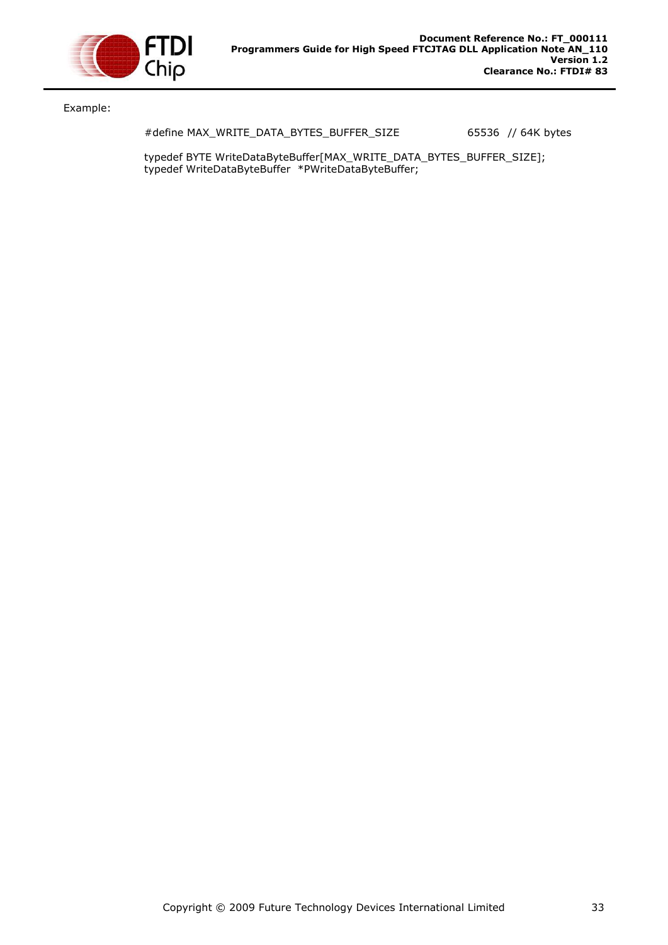

Example:

#define MAX\_WRITE\_DATA\_BYTES\_BUFFER\_SIZE 65536 // 64K bytes

typedef BYTE WriteDataByteBuffer[MAX\_WRITE\_DATA\_BYTES\_BUFFER\_SIZE]; typedef WriteDataByteBuffer \*PWriteDataByteBuffer;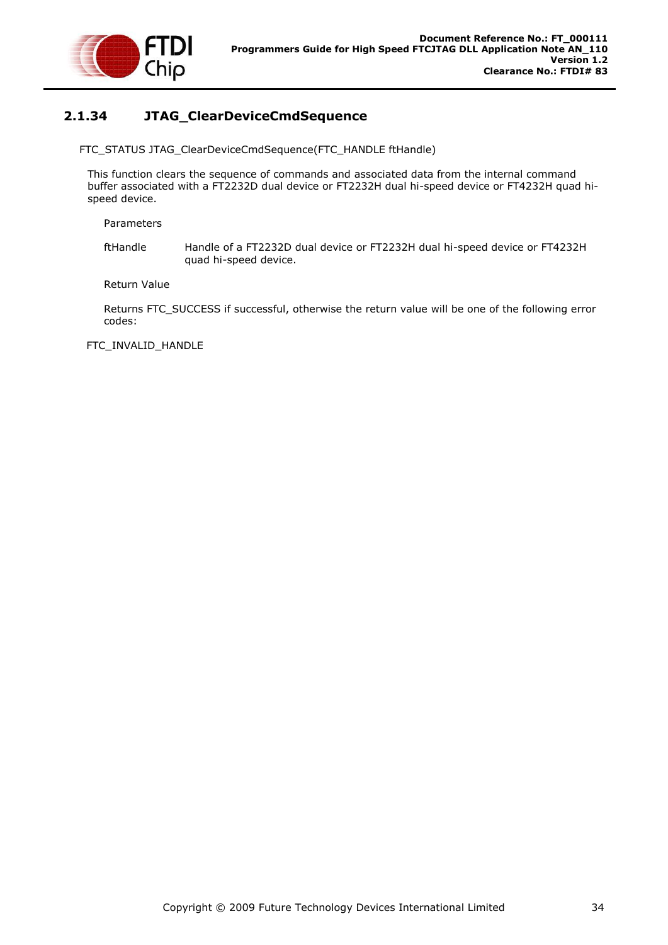

## <span id="page-34-0"></span>**2.1.34 JTAG\_ClearDeviceCmdSequence**

FTC\_STATUS JTAG\_ClearDeviceCmdSequence(FTC\_HANDLE ftHandle)

This function clears the sequence of commands and associated data from the internal command buffer associated with a FT2232D dual device or FT2232H dual hi-speed device or FT4232H quad hispeed device.

Parameters

ftHandle Handle of a FT2232D dual device or FT2232H dual hi-speed device or FT4232H quad hi-speed device.

Return Value

Returns FTC\_SUCCESS if successful, otherwise the return value will be one of the following error codes:

FTC\_INVALID\_HANDLE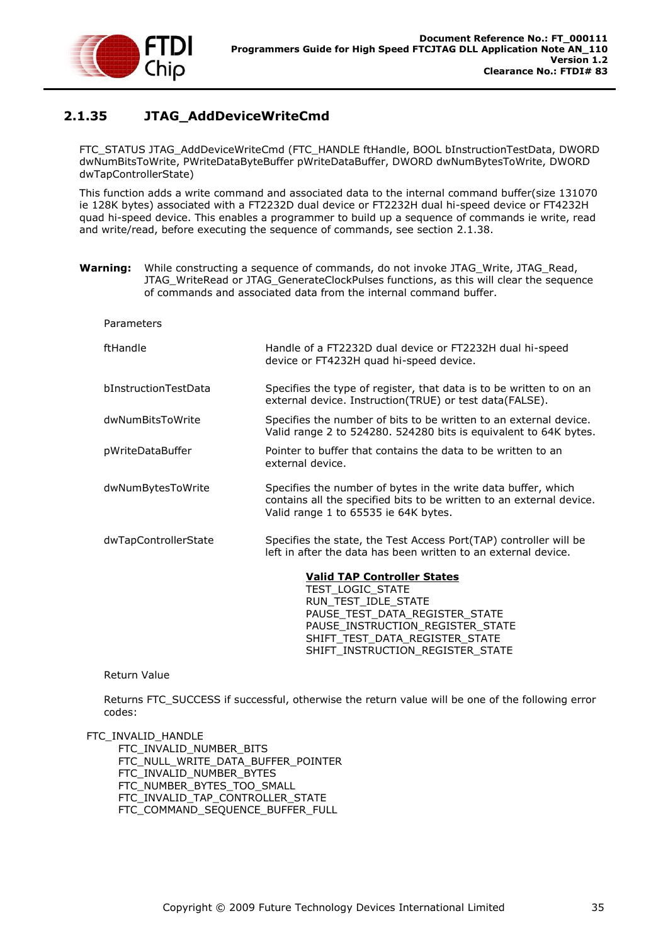

### <span id="page-35-0"></span>**2.1.35 JTAG\_AddDeviceWriteCmd**

FTC\_STATUS JTAG\_AddDeviceWriteCmd (FTC\_HANDLE ftHandle, BOOL bInstructionTestData, DWORD dwNumBitsToWrite, PWriteDataByteBuffer pWriteDataBuffer, DWORD dwNumBytesToWrite, DWORD dwTapControllerState)

This function adds a write command and associated data to the internal command buffer(size 131070 ie 128K bytes) associated with a FT2232D dual device or FT2232H dual hi-speed device or FT4232H quad hi-speed device. This enables a programmer to build up a sequence of commands ie write, read and write/read, before executing the sequence of commands, see section [2.1.38.](#page-40-0)

**Warning:** While constructing a sequence of commands, do not invoke JTAG\_Write, JTAG\_Read, JTAG\_WriteRead or JTAG\_GenerateClockPulses functions, as this will clear the sequence of commands and associated data from the internal command buffer.

| Parameters           |                                                                                                                                                                                       |
|----------------------|---------------------------------------------------------------------------------------------------------------------------------------------------------------------------------------|
| ftHandle             | Handle of a FT2232D dual device or FT2232H dual hi-speed<br>device or FT4232H quad hi-speed device.                                                                                   |
| bInstructionTestData | Specifies the type of register, that data is to be written to on an<br>external device. Instruction(TRUE) or test data(FALSE).                                                        |
| dwNumBitsToWrite     | Specifies the number of bits to be written to an external device.<br>Valid range 2 to 524280. 524280 bits is equivalent to 64K bytes.                                                 |
| pWriteDataBuffer     | Pointer to buffer that contains the data to be written to an<br>external device.                                                                                                      |
| dwNumBytesToWrite    | Specifies the number of bytes in the write data buffer, which<br>contains all the specified bits to be written to an external device.<br>Valid range 1 to 65535 ie 64K bytes.         |
| dwTapControllerState | Specifies the state, the Test Access Port(TAP) controller will be<br>left in after the data has been written to an external device.                                                   |
|                      | <b>Valid TAP Controller States</b><br>TEST LOGIC STATE<br>RUN TEST IDLE STATE<br>PAUSE_TEST_DATA_REGISTER_STATE<br>PAUSE_INSTRUCTION_REGISTER_STATE<br>SHIFT TEST DATA REGISTER STATE |

#### Return Value

Returns FTC\_SUCCESS if successful, otherwise the return value will be one of the following error codes:

SHIFT\_INSTRUCTION\_REGISTER\_STATE

FTC\_INVALID\_HANDLE

FTC\_INVALID\_NUMBER\_BITS FTC\_NULL\_WRITE\_DATA\_BUFFER\_POINTER FTC\_INVALID\_NUMBER\_BYTES FTC\_NUMBER\_BYTES\_TOO\_SMALL FTC\_INVALID\_TAP\_CONTROLLER\_STATE FTC\_COMMAND\_SEQUENCE\_BUFFER\_FULL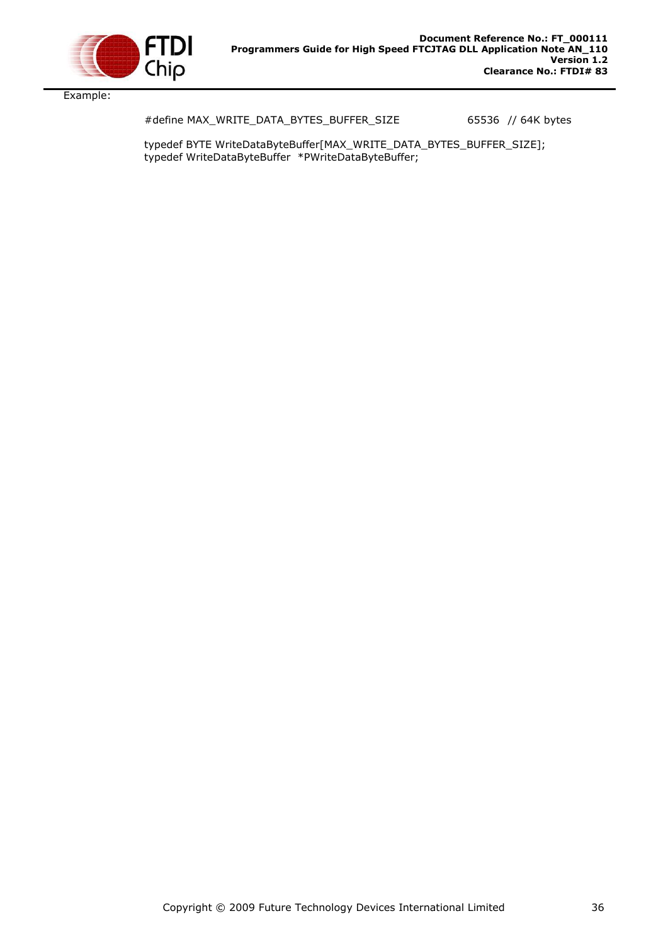

Example:

#define MAX\_WRITE\_DATA\_BYTES\_BUFFER\_SIZE 65536 // 64K bytes

typedef BYTE WriteDataByteBuffer[MAX\_WRITE\_DATA\_BYTES\_BUFFER\_SIZE]; typedef WriteDataByteBuffer \*PWriteDataByteBuffer;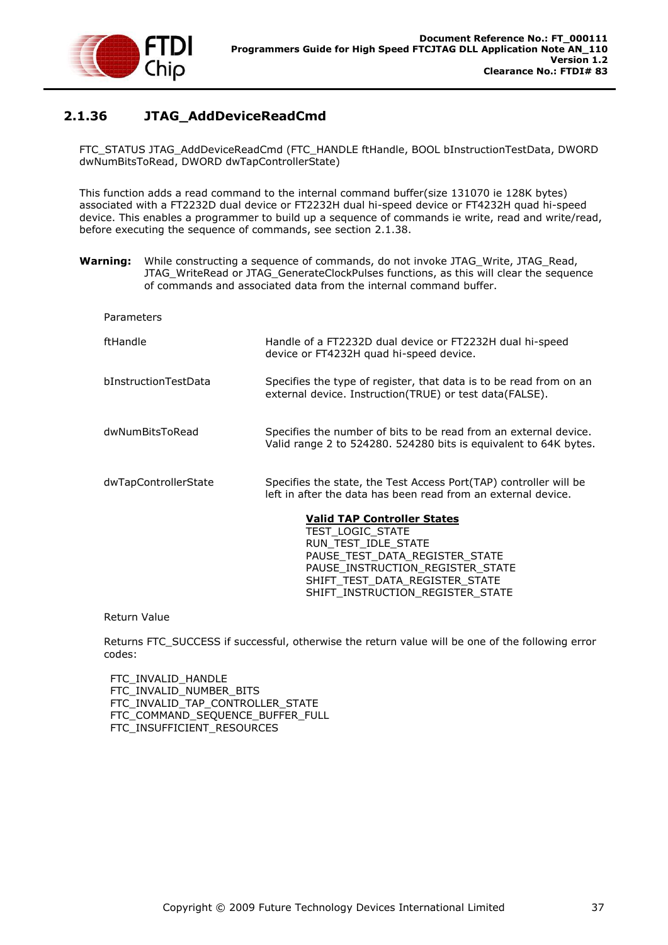

### <span id="page-37-0"></span>**2.1.36 JTAG\_AddDeviceReadCmd**

FTC\_STATUS JTAG\_AddDeviceReadCmd (FTC\_HANDLE ftHandle, BOOL bInstructionTestData, DWORD dwNumBitsToRead, DWORD dwTapControllerState)

This function adds a read command to the internal command buffer(size 131070 ie 128K bytes) associated with a FT2232D dual device or FT2232H dual hi-speed device or FT4232H quad hi-speed device. This enables a programmer to build up a sequence of commands ie write, read and write/read, before executing the sequence of commands, see section [2.1.38.](#page-40-0)

- **Warning:** While constructing a sequence of commands, do not invoke JTAG Write, JTAG Read, JTAG\_WriteRead or JTAG\_GenerateClockPulses functions, as this will clear the sequence of commands and associated data from the internal command buffer.
	- Parameters ftHandle Handle of a FT2232D dual device or FT2232H dual hi-speed device or FT4232H quad hi-speed device. bInstructionTestData Specifies the type of register, that data is to be read from on an external device. Instruction(TRUE) or test data(FALSE). dwNumBitsToRead Specifies the number of bits to be read from an external device. Valid range 2 to 524280. 524280 bits is equivalent to 64K bytes. dwTapControllerState Specifies the state, the Test Access Port(TAP) controller will be left in after the data has been read from an external device. **Valid TAP Controller States** TEST\_LOGIC\_STATE RUN\_TEST\_IDLE\_STATE PAUSE\_TEST\_DATA\_REGISTER\_STATE

Return Value

Returns FTC\_SUCCESS if successful, otherwise the return value will be one of the following error codes:

PAUSE\_INSTRUCTION\_REGISTER\_STATE SHIFT\_TEST\_DATA\_REGISTER\_STATE SHIFT\_INSTRUCTION\_REGISTER\_STATE

 FTC\_INVALID\_HANDLE FTC\_INVALID\_NUMBER\_BITS FTC\_INVALID\_TAP\_CONTROLLER\_STATE FTC\_COMMAND\_SEQUENCE\_BUFFER\_FULL FTC\_INSUFFICIENT\_RESOURCES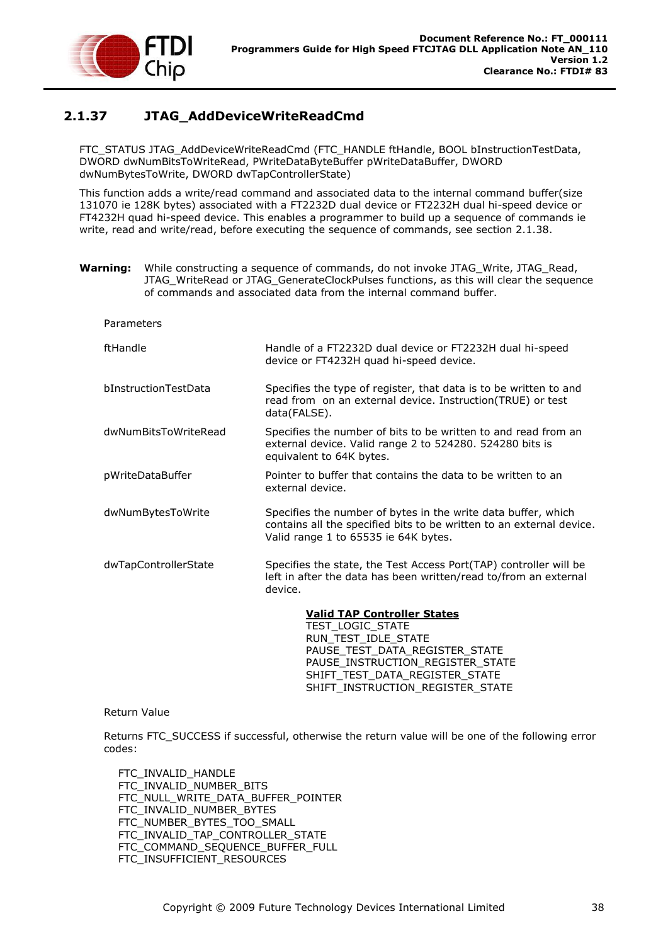

## <span id="page-38-0"></span>**2.1.37 JTAG\_AddDeviceWriteReadCmd**

FTC\_STATUS JTAG\_AddDeviceWriteReadCmd (FTC\_HANDLE ftHandle, BOOL bInstructionTestData, DWORD dwNumBitsToWriteRead, PWriteDataByteBuffer pWriteDataBuffer, DWORD dwNumBytesToWrite, DWORD dwTapControllerState)

This function adds a write/read command and associated data to the internal command buffer(size 131070 ie 128K bytes) associated with a FT2232D dual device or FT2232H dual hi-speed device or FT4232H quad hi-speed device. This enables a programmer to build up a sequence of commands ie write, read and write/read, before executing the sequence of commands, see section [2.1.38.](#page-40-0)

**Warning:** While constructing a sequence of commands, do not invoke JTAG\_Write, JTAG\_Read, JTAG\_WriteRead or JTAG\_GenerateClockPulses functions, as this will clear the sequence of commands and associated data from the internal command buffer.

| Parameters           |                                                                                                                                                                               |
|----------------------|-------------------------------------------------------------------------------------------------------------------------------------------------------------------------------|
| ftHandle             | Handle of a FT2232D dual device or FT2232H dual hi-speed<br>device or FT4232H quad hi-speed device.                                                                           |
| bInstructionTestData | Specifies the type of register, that data is to be written to and<br>read from on an external device. Instruction(TRUE) or test<br>data(FALSE).                               |
| dwNumBitsToWriteRead | Specifies the number of bits to be written to and read from an<br>external device. Valid range 2 to 524280. 524280 bits is<br>equivalent to 64K bytes.                        |
| pWriteDataBuffer     | Pointer to buffer that contains the data to be written to an<br>external device.                                                                                              |
| dwNumBytesToWrite    | Specifies the number of bytes in the write data buffer, which<br>contains all the specified bits to be written to an external device.<br>Valid range 1 to 65535 ie 64K bytes. |
| dwTapControllerState | Specifies the state, the Test Access Port(TAP) controller will be<br>left in after the data has been written/read to/from an external<br>device.                              |
|                      | <b>Valid TAP Controller States</b>                                                                                                                                            |
|                      | TEST_LOGIC_STATE                                                                                                                                                              |
|                      | DIIN TECT IN E CTATE                                                                                                                                                          |

RUN\_TEST\_IDLE\_STATE PAUSE\_TEST\_DATA\_REGISTER\_STATE PAUSE\_INSTRUCTION\_REGISTER\_STATE SHIFT\_TEST\_DATA\_REGISTER\_STATE SHIFT\_INSTRUCTION\_REGISTER\_STATE

#### Return Value

Returns FTC\_SUCCESS if successful, otherwise the return value will be one of the following error codes:

 FTC\_INVALID\_HANDLE FTC\_INVALID\_NUMBER\_BITS FTC\_NULL\_WRITE\_DATA\_BUFFER\_POINTER FTC\_INVALID\_NUMBER\_BYTES FTC\_NUMBER\_BYTES\_TOO\_SMALL FTC\_INVALID\_TAP\_CONTROLLER\_STATE FTC COMMAND SEQUENCE BUFFER FULL FTC\_INSUFFICIENT\_RESOURCES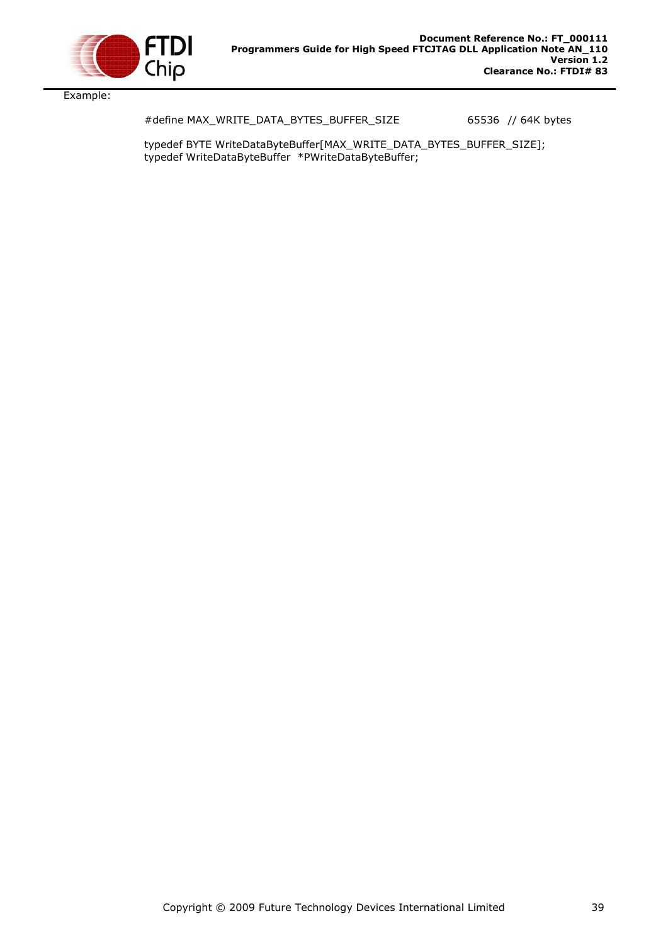

Example:

#define MAX\_WRITE\_DATA\_BYTES\_BUFFER\_SIZE 65536 // 64K bytes

typedef BYTE WriteDataByteBuffer[MAX\_WRITE\_DATA\_BYTES\_BUFFER\_SIZE]; typedef WriteDataByteBuffer \*PWriteDataByteBuffer;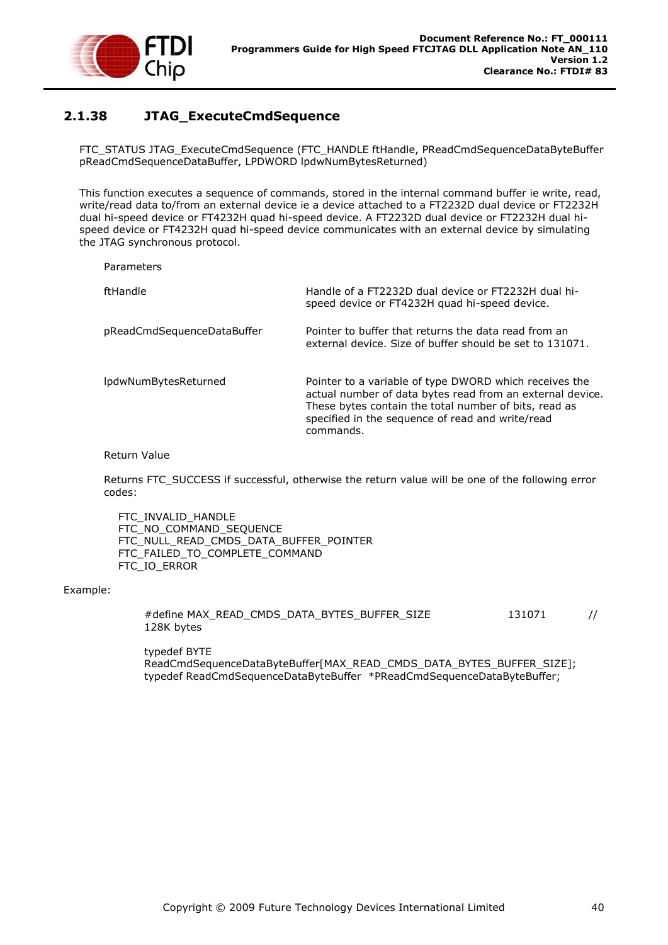

## <span id="page-40-0"></span>**2.1.38 JTAG\_ExecuteCmdSequence**

FTC\_STATUS JTAG\_ExecuteCmdSequence (FTC\_HANDLE ftHandle, PReadCmdSequenceDataByteBuffer pReadCmdSequenceDataBuffer, LPDWORD lpdwNumBytesReturned)

This function executes a sequence of commands, stored in the internal command buffer ie write, read, write/read data to/from an external device ie a device attached to a FT2232D dual device or FT2232H dual hi-speed device or FT4232H quad hi-speed device. A FT2232D dual device or FT2232H dual hispeed device or FT4232H quad hi-speed device communicates with an external device by simulating the JTAG synchronous protocol.

Parameters

| ftHandle                   | Handle of a FT2232D dual device or FT2232H dual hi-<br>speed device or FT4232H quad hi-speed device.                                                                                                                                          |
|----------------------------|-----------------------------------------------------------------------------------------------------------------------------------------------------------------------------------------------------------------------------------------------|
| pReadCmdSequenceDataBuffer | Pointer to buffer that returns the data read from an<br>external device. Size of buffer should be set to 131071.                                                                                                                              |
| IpdwNumBytesReturned       | Pointer to a variable of type DWORD which receives the<br>actual number of data bytes read from an external device.<br>These bytes contain the total number of bits, read as<br>specified in the sequence of read and write/read<br>commands. |

#### Return Value

Returns FTC\_SUCCESS if successful, otherwise the return value will be one of the following error codes:

 FTC\_INVALID\_HANDLE FTC\_NO\_COMMAND\_SEQUENCE FTC\_NULL\_READ\_CMDS\_DATA\_BUFFER\_POINTER FTC\_FAILED\_TO\_COMPLETE\_COMMAND FTC\_IO\_ERROR

#### Example:

| #define MAX READ CMDS DATA BYTES BUFFER SIZE |  |  | 131071 |  |
|----------------------------------------------|--|--|--------|--|
| 128K bytes                                   |  |  |        |  |

typedef BYTE ReadCmdSequenceDataByteBuffer[MAX\_READ\_CMDS\_DATA\_BYTES\_BUFFER\_SIZE]; typedef ReadCmdSequenceDataByteBuffer \*PReadCmdSequenceDataByteBuffer;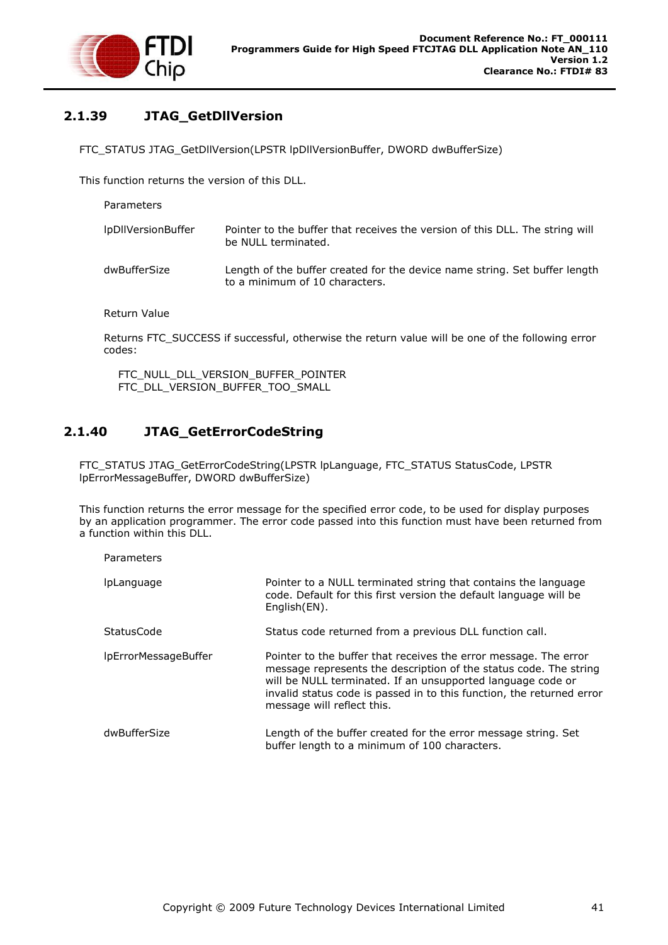

# <span id="page-41-0"></span>**2.1.39 JTAG\_GetDllVersion**

FTC\_STATUS JTAG\_GetDllVersion(LPSTR lpDllVersionBuffer, DWORD dwBufferSize)

This function returns the version of this DLL.

| lpDllVersionBuffer | Pointer to the buffer that receives the version of this DLL. The string will<br>be NULL terminated.          |
|--------------------|--------------------------------------------------------------------------------------------------------------|
| dwBufferSize       | Length of the buffer created for the device name string. Set buffer length<br>to a minimum of 10 characters. |

Return Value

Parameters

Returns FTC\_SUCCESS if successful, otherwise the return value will be one of the following error codes:

FTC\_NULL\_DLL\_VERSION\_BUFFER\_POINTER FTC\_DLL\_VERSION\_BUFFER\_TOO\_SMALL

### <span id="page-41-1"></span>**2.1.40 JTAG\_GetErrorCodeString**

FTC\_STATUS JTAG\_GetErrorCodeString(LPSTR lpLanguage, FTC\_STATUS StatusCode, LPSTR lpErrorMessageBuffer, DWORD dwBufferSize)

This function returns the error message for the specified error code, to be used for display purposes by an application programmer. The error code passed into this function must have been returned from a function within this DLL.

| Parameters           |                                                                                                                                                                                                                                                                                                             |
|----------------------|-------------------------------------------------------------------------------------------------------------------------------------------------------------------------------------------------------------------------------------------------------------------------------------------------------------|
| <i>IpLanguage</i>    | Pointer to a NULL terminated string that contains the language<br>code. Default for this first version the default language will be<br>English(EN).                                                                                                                                                         |
| StatusCode           | Status code returned from a previous DLL function call.                                                                                                                                                                                                                                                     |
| IpErrorMessageBuffer | Pointer to the buffer that receives the error message. The error<br>message represents the description of the status code. The string<br>will be NULL terminated. If an unsupported language code or<br>invalid status code is passed in to this function, the returned error<br>message will reflect this. |
| dwBufferSize         | Length of the buffer created for the error message string. Set<br>buffer length to a minimum of 100 characters.                                                                                                                                                                                             |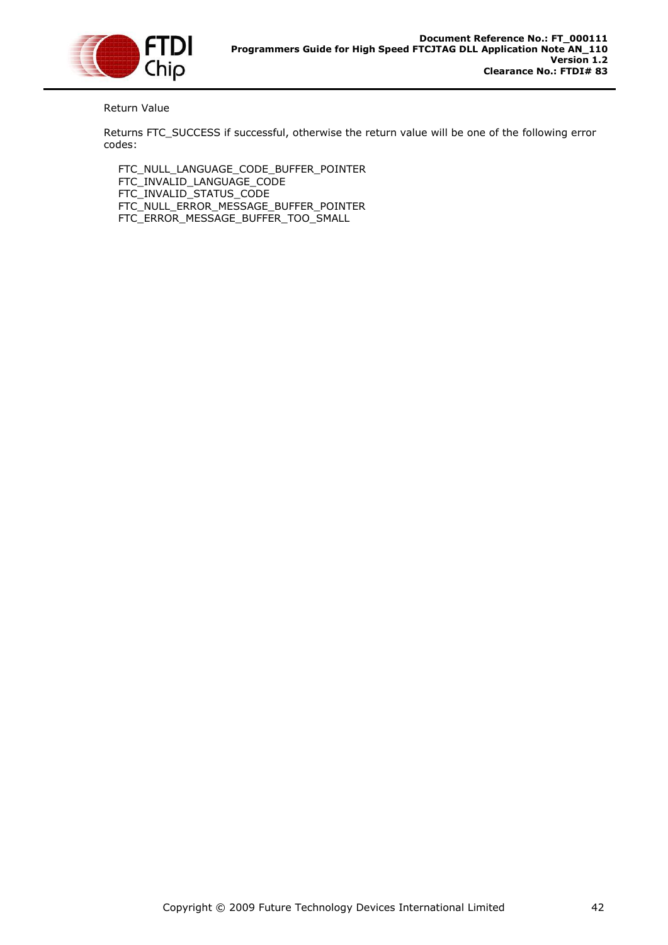

### Return Value

Returns FTC\_SUCCESS if successful, otherwise the return value will be one of the following error codes:

 FTC\_NULL\_LANGUAGE\_CODE\_BUFFER\_POINTER FTC\_INVALID\_LANGUAGE\_CODE FTC\_INVALID\_STATUS\_CODE FTC\_NULL\_ERROR\_MESSAGE\_BUFFER\_POINTER FTC\_ERROR\_MESSAGE\_BUFFER\_TOO\_SMALL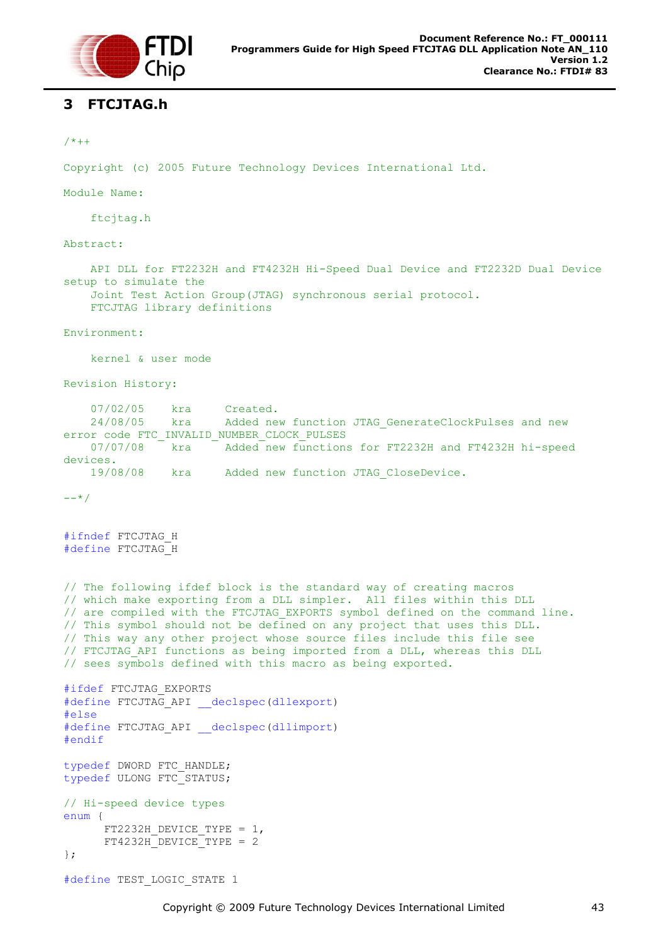

### <span id="page-43-0"></span>**3 FTCJTAG.h**

```
/ * + +
```
Copyright (c) 2005 Future Technology Devices International Ltd.

Module Name:

ftcjtag.h

Abstract:

 API DLL for FT2232H and FT4232H Hi-Speed Dual Device and FT2232D Dual Device setup to simulate the Joint Test Action Group(JTAG) synchronous serial protocol.

FTCJTAG library definitions

Environment:

kernel & user mode

Revision History:

07/02/05 kra Created.<br>24/08/05 kra Added ne 24/08/05 kra Added new function JTAG\_GenerateClockPulses and new error code FTC\_INVALID\_NUMBER\_CLOCK\_PULSES 07/07/08 kra <sup>-</sup> Added new functions for FT2232H and FT4232H hi-speed devices. 19/08/08 kra Added new function JTAG\_CloseDevice.

```
--*/
```
#ifndef FTCJTAG\_H #define FTCJTAG\_H

// The following ifdef block is the standard way of creating macros // which make exporting from a DLL simpler. All files within this DLL // are compiled with the FTCJTAG\_EXPORTS symbol defined on the command line. // This symbol should not be defined on any project that uses this DLL. // This way any other project whose source files include this file see // FTCJTAG\_API functions as being imported from a DLL, whereas this DLL // sees symbols defined with this macro as being exported. #ifdef FTCJTAG\_EXPORTS

```
#define FTCJTAG_API __declspec(dllexport)
#else
#define FTCJTAG_API __declspec(dllimport)
#endif
typedef DWORD FTC_HANDLE;
typedef ULONG FTC_STATUS;
// Hi-speed device types
enum {
      FT2232H DEVICE TYPE = 1,
      FT4232HDEVICE<sup>T</sup>YPE = 2
```
};

```
#define TEST_LOGIC_STATE 1
```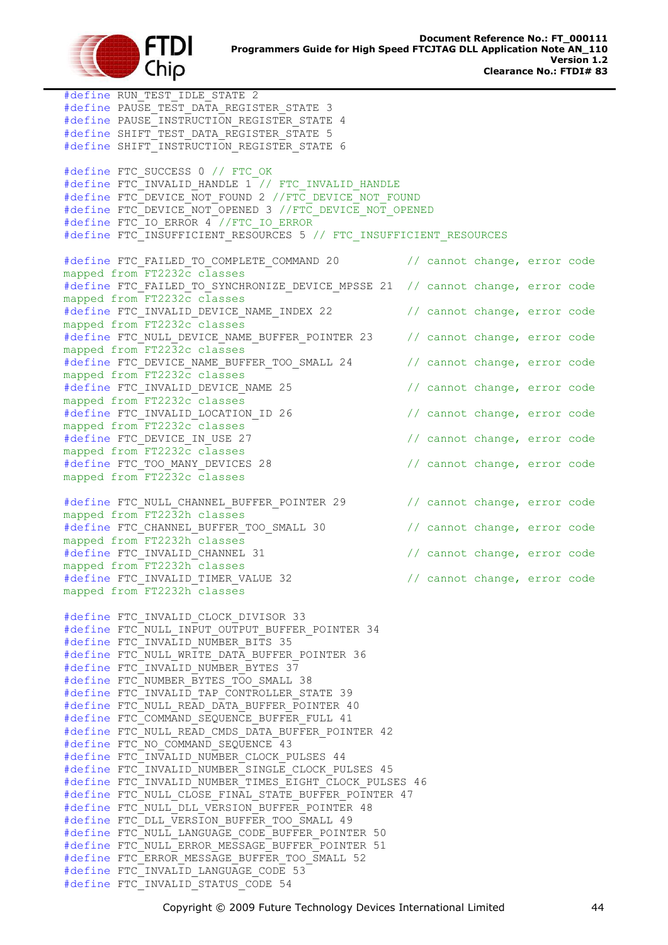

#define RUN\_TEST\_IDLE\_STATE 2 #define PAUSE TEST DATA REGISTER STATE 3 #define PAUSE INSTRUCTION REGISTER STATE 4 #define SHIFT\_TEST\_DATA\_REGISTER\_STATE 5 #define SHIFT\_INSTRUCTION REGISTER STATE 6 #define FTC\_SUCCESS 0 // FTC\_OK #define FTC\_INVALID\_HANDLE 1 // FTC\_INVALID\_HANDLE #define FTC\_DEVICE NOT FOUND 2 //FTC DEVICE\_NOT FOUND #define FTC\_DEVICE\_NOT\_OPENED 3 //FTC DEVICE NOT OPENED #define FTC IO ERROR 4 //FTC IO ERROR #define FTC\_INSUFFICIENT\_RESOURCES 5 // FTC\_INSUFFICIENT\_RESOURCES #define FTC FAILED TO COMPLETE COMMAND 20 // cannot change, error code mapped from FT2232c classes #define FTC FAILED TO SYNCHRONIZE DEVICE MPSSE 21 // cannot change, error code mapped from FT2232c classes #define FTC\_INVALID\_DEVICE\_NAME\_INDEX 22 // cannot change, error code mapped from FT2232c classes #define FTC\_NULL\_DEVICE\_NAME\_BUFFER\_POINTER\_23 // cannot change, error code mapped from FT2232c classes #define FTC DEVICE NAME BUFFER TOO SMALL 24 // cannot change, error code mapped from FT2232c classes #define FTC\_INVALID\_DEVICE\_NAME 25 // cannot change, error code mapped from FT2232c classes #define FTC\_INVALID\_LOCATION\_ID 26 // cannot change, error code mapped from FT2232c classes #define FTC DEVICE IN USE 27 // cannot change, error code mapped from FT2232c classes #define FTC\_TOO\_MANY\_DEVICES 28 // cannot change, error code mapped from FT2232c classes #define FTC NULL CHANNEL BUFFER POINTER 29 // cannot change, error code mapped from FT2232h classes #define FTC CHANNEL BUFFER TOO SMALL 30 // cannot change, error code mapped from FT2232h classes #define FTC\_INVALID\_CHANNEL 31 // cannot change, error code mapped from FT2232h classes #define FTC\_INVALID\_TIMER\_VALUE 32 // cannot change, error code mapped from FT2232h classes #define FTC\_INVALID\_CLOCK\_DIVISOR 33 #define FTC\_NULL\_INPUT\_OUTPUT\_BUFFER\_POINTER\_34 #define FTC INVALID NUMBER BITS 35 #define FTC NULL WRITE DATA BUFFER POINTER 36 #define FTC INVALID NUMBER BYTES 37 #define FTC NUMBER BYTES TOO SMALL 38 #define FTC\_INVALID\_TAP\_CONTROLLER\_STATE 39 #define FTC\_NULL\_READ\_DATA\_BUFFER\_POINTER 40 #define FTC COMMAND SEQUENCE BUFFER FULL 41 #define FTC NULL READ CMDS DATA BUFFER POINTER 42 #define FTC NO COMMAND SEQUENCE 43 #define FTC INVALID NUMBER CLOCK PULSES 44 #define FTC INVALID NUMBER SINGLE CLOCK PULSES 45 #define FTC\_INVALID\_NUMBER\_TIMES\_EIGHT\_CLOCK\_PULSES 46 #define FTC\_NULL CLOSE FINAL STATE BUFFER POINTER 47 #define FTC\_NULL\_DLL\_VERSION\_BUFFER\_POINTER 48 #define FTC\_DLL\_VERSION\_BUFFER\_TOO\_SMALL 49 #define FTC\_NULL\_LANGUAGE\_CODE\_BUFFER\_POINTER 50 #define FTC\_NULL\_ERROR\_MESSAGE\_BUFFER\_POINTER 51 #define FTC\_ERROR MESSAGE BUFFER TOO SMALL 52 #define FTC\_INVALID LANGUAGE CODE 53 #define FTC INVALID STATUS CODE 54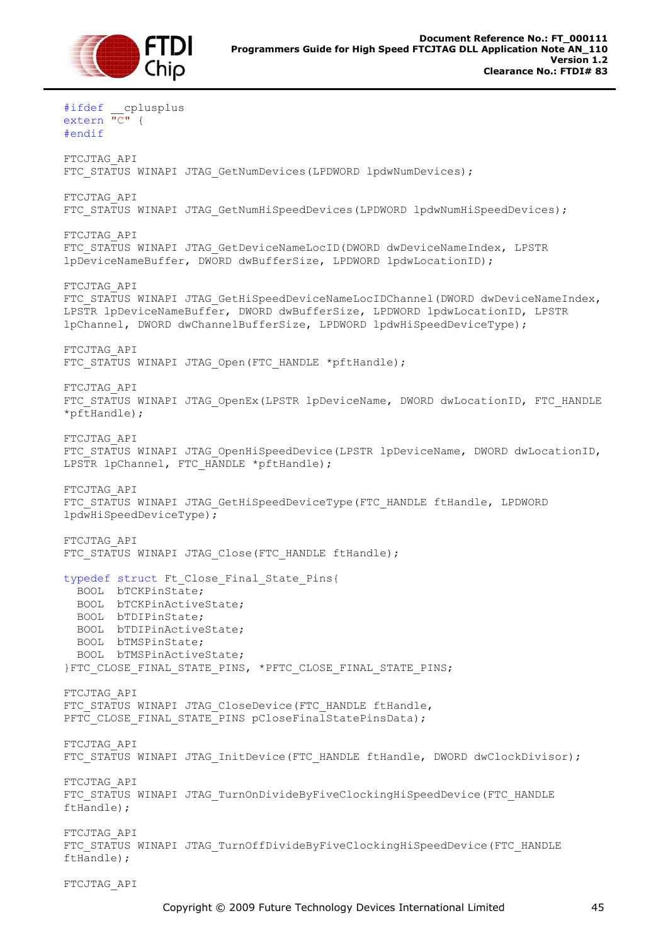

#ifdef \_\_cplusplus extern "C" { #endif FTCJTAG\_API FTC STATUS WINAPI JTAG GetNumDevices(LPDWORD lpdwNumDevices); FTCJTAG\_API FTC STATUS WINAPI JTAG GetNumHiSpeedDevices(LPDWORD lpdwNumHiSpeedDevices); FTCJTAG\_API FTC STATUS WINAPI JTAG GetDeviceNameLocID(DWORD dwDeviceNameIndex, LPSTR lpDeviceNameBuffer, DWORD dwBufferSize, LPDWORD lpdwLocationID); FTCJTAG\_API FTC STATUS WINAPI JTAG GetHiSpeedDeviceNameLocIDChannel(DWORD dwDeviceNameIndex, LPSTR lpDeviceNameBuffer, DWORD dwBufferSize, LPDWORD lpdwLocationID, LPSTR lpChannel, DWORD dwChannelBufferSize, LPDWORD lpdwHiSpeedDeviceType); FTCJTAG\_API FTC STATUS WINAPI JTAG Open(FTC HANDLE \*pftHandle); FTCJTAG\_API FTC STATUS WINAPI JTAG OpenEx(LPSTR lpDeviceName, DWORD dwLocationID, FTC HANDLE  $*$ pftHandle); FTCJTAG\_API FTC STATUS WINAPI JTAG OpenHiSpeedDevice(LPSTR lpDeviceName, DWORD dwLocationID, LPSTR lpChannel, FTC HANDLE \*pftHandle); FTCJTAG\_API FTC STATUS WINAPI JTAG GetHiSpeedDeviceType(FTC HANDLE ftHandle, LPDWORD lpdwHiSpeedDeviceType); FTCJTAG\_API FTC STATUS WINAPI JTAG Close(FTC HANDLE ftHandle); typedef struct Ft Close Final State Pins{ BOOL bTCKPinState; BOOL bTCKPinActiveState; BOOL bTDIPinState; BOOL bTDIPinActiveState; BOOL bTMSPinState; BOOL bTMSPinActiveState; }FTC\_CLOSE\_FINAL\_STATE\_PINS, \*PFTC\_CLOSE\_FINAL\_STATE\_PINS; FTCJTAG\_API FTC STATUS WINAPI JTAG CloseDevice(FTC HANDLE ftHandle, PFTC CLOSE FINAL STATE PINS pCloseFinalStatePinsData); FTCJTAG\_API FTC STATUS WINAPI JTAG InitDevice(FTC HANDLE ftHandle, DWORD dwClockDivisor); FTCJTAG\_API FTC STATUS WINAPI JTAG TurnOnDivideByFiveClockingHiSpeedDevice(FTC HANDLE ftHandle); FTCJTAG\_API FTC STATUS WINAPI JTAG TurnOffDivideByFiveClockingHiSpeedDevice(FTC HANDLE ftHandle); FTCJTAG\_API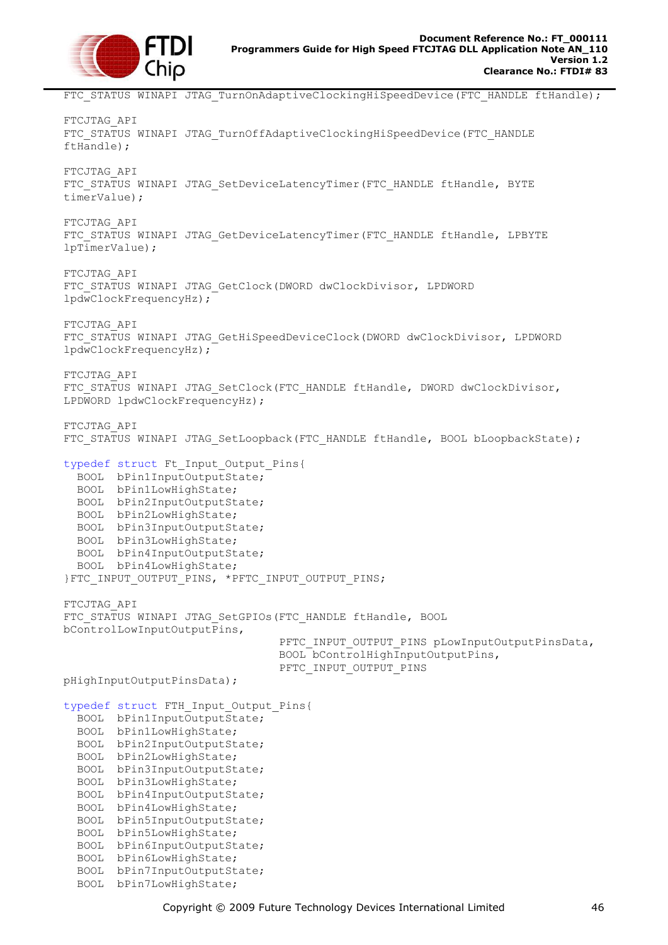

FTC STATUS WINAPI JTAG TurnOnAdaptiveClockingHiSpeedDevice(FTC HANDLE ftHandle); FTCJTAG\_API FTC STATUS WINAPI JTAG TurnOffAdaptiveClockingHiSpeedDevice(FTC HANDLE ftHandle); FTCJTAG\_API FTC STATUS WINAPI JTAG SetDeviceLatencyTimer(FTC HANDLE ftHandle, BYTE timerValue); FTCJTAG\_API FTC STATUS WINAPI JTAG GetDeviceLatencyTimer(FTC HANDLE ftHandle, LPBYTE lpTimerValue); FTCJTAG\_API FTC STATUS WINAPI JTAG GetClock(DWORD dwClockDivisor, LPDWORD lpdwClockFrequencyHz); FTCJTAG\_API FTC STATUS WINAPI JTAG GetHiSpeedDeviceClock(DWORD dwClockDivisor, LPDWORD lpdwClockFrequencyHz); FTCJTAG\_API FTC STATUS WINAPI JTAG SetClock(FTC HANDLE ftHandle, DWORD dwClockDivisor, LPDWORD lpdwClockFrequencyHz); FTCJTAG\_API FTC STATUS WINAPI JTAG SetLoopback(FTC HANDLE ftHandle, BOOL bLoopbackState); typedef struct Ft\_Input\_Output\_Pins{ BOOL bPin1InputOutputState; BOOL bPin1LowHighState; BOOL bPin2InputOutputState; BOOL bPin2LowHighState; BOOL bPin3InputOutputState; BOOL bPin3LowHighState; BOOL bPin4InputOutputState; BOOL bPin4LowHighState; }FTC\_INPUT\_OUTPUT\_PINS, \*PFTC\_INPUT\_OUTPUT\_PINS; FTCJTAG\_API FTC STATUS WINAPI JTAG SetGPIOs(FTC HANDLE ftHandle, BOOL bControlLowInputOutputPins, PFTC INPUT OUTPUT PINS pLowInputOutputPinsData, BOOL bControlHighInputOutputPins, PFTC\_INPUT\_OUTPUT\_PINS pHighInputOutputPinsData); typedef struct FTH\_Input\_Output\_Pins{ BOOL bPin1InputOutputState; BOOL bPin1LowHighState; BOOL bPin2InputOutputState; BOOL bPin2LowHighState; BOOL bPin3InputOutputState; BOOL bPin3LowHighState; BOOL bPin4InputOutputState; BOOL bPin4LowHighState; BOOL bPin5InputOutputState; BOOL bPin5LowHighState; BOOL bPin6InputOutputState; BOOL bPin6LowHighState;

 BOOL bPin7InputOutputState; BOOL bPin7LowHighState;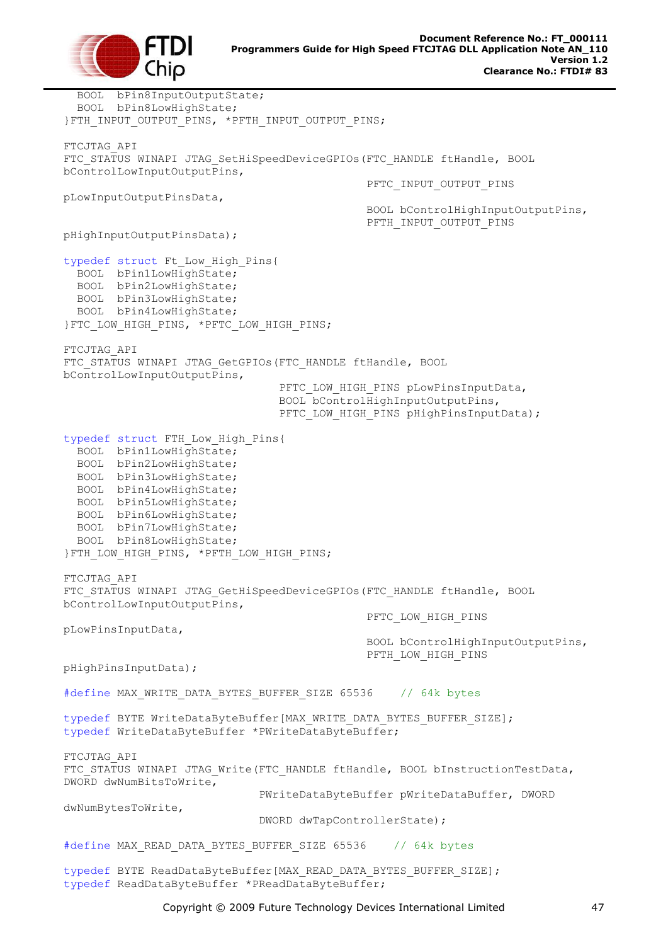

 BOOL bPin8InputOutputState; BOOL bPin8LowHighState; }FTH\_INPUT\_OUTPUT\_PINS, \*PFTH\_INPUT\_OUTPUT\_PINS; FTCJTAG\_API FTC STATUS WINAPI JTAG SetHiSpeedDeviceGPIOs(FTC HANDLE ftHandle, BOOL bControlLowInputOutputPins, PFTC\_INPUT\_OUTPUT\_PINS pLowInputOutputPinsData, BOOL bControlHighInputOutputPins, PFTH\_INPUT\_OUTPUT\_PINS pHighInputOutputPinsData); typedef struct Ft\_Low\_High\_Pins{ BOOL bPin1LowHighState; BOOL bPin2LowHighState; BOOL bPin3LowHighState; BOOL bPin4LowHighState; }FTC\_LOW\_HIGH\_PINS, \*PFTC\_LOW\_HIGH\_PINS; FTCJTAG\_API FTC STATUS WINAPI JTAG GetGPIOs(FTC HANDLE ftHandle, BOOL bControlLowInputOutputPins, PFTC LOW HIGH PINS pLowPinsInputData, BOOL bControlHighInputOutputPins, PFTC LOW HIGH PINS pHighPinsInputData); typedef struct FTH\_Low\_High\_Pins{ BOOL bPin1LowHighState; BOOL bPin2LowHighState; BOOL bPin3LowHighState; BOOL bPin4LowHighState; BOOL bPin5LowHighState; BOOL bPin6LowHighState; BOOL bPin7LowHighState; BOOL bPin8LowHighState; }FTH\_LOW\_HIGH\_PINS, \*PFTH\_LOW\_HIGH\_PINS; FTCJTAG\_API FTC STATUS WINAPI JTAG GetHiSpeedDeviceGPIOs(FTC HANDLE ftHandle, BOOL bControlLowInputOutputPins, PFTC\_LOW\_HIGH\_PINS pLowPinsInputData, BOOL bControlHighInputOutputPins, PFTH\_LOW\_HIGH\_PINS pHighPinsInputData); #define MAX WRITE DATA BYTES BUFFER SIZE 65536 // 64k bytes typedef BYTE WriteDataByteBuffer[MAX\_WRITE\_DATA\_BYTES\_BUFFER\_SIZE]; typedef WriteDataByteBuffer \*PWriteDataByteBuffer; FTCJTAG\_API FTC STATUS WINAPI JTAG Write(FTC HANDLE ftHandle, BOOL bInstructionTestData, DWORD dwNumBitsToWrite, PWriteDataByteBuffer pWriteDataBuffer, DWORD dwNumBytesToWrite, DWORD dwTapControllerState); #define MAX\_READ\_DATA\_BYTES\_BUFFER\_SIZE 65536 // 64k bytes typedef BYTE ReadDataByteBuffer[MAX\_READ\_DATA\_BYTES\_BUFFER\_SIZE];

typedef ReadDataByteBuffer \*PReadDataByteBuffer;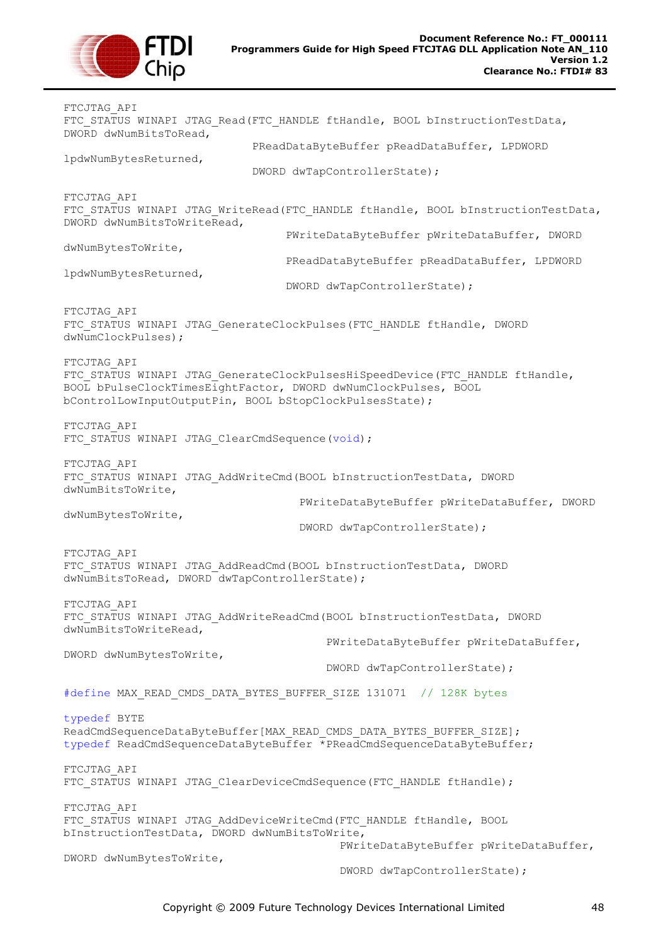

FTCJTAG\_API FTC STATUS WINAPI JTAG Read(FTC HANDLE ftHandle, BOOL bInstructionTestData, DWORD dwNumBitsToRead, PReadDataByteBuffer pReadDataBuffer, LPDWORD lpdwNumBytesReturned, DWORD dwTapControllerState); FTCJTAG\_API FTC STATUS WINAPI JTAG WriteRead(FTC HANDLE ftHandle, BOOL bInstructionTestData, DWORD dwNumBitsToWriteRead, PWriteDataByteBuffer pWriteDataBuffer, DWORD dwNumBytesToWrite, PReadDataByteBuffer pReadDataBuffer, LPDWORD lpdwNumBytesReturned, DWORD dwTapControllerState); FTCJTAG\_API FTC STATUS WINAPI JTAG GenerateClockPulses(FTC HANDLE ftHandle, DWORD dwNumClockPulses); FTCJTAG\_API FTC STATUS WINAPI JTAG GenerateClockPulsesHiSpeedDevice(FTC HANDLE ftHandle, BOOL bPulseClockTimesEightFactor, DWORD dwNumClockPulses, BOOL bControlLowInputOutputPin, BOOL bStopClockPulsesState); FTCJTAG\_API FTC STATUS WINAPI JTAG ClearCmdSequence(void); FTCJTAG\_API FTC STATUS WINAPI JTAG AddWriteCmd(BOOL bInstructionTestData, DWORD dwNumBitsToWrite, PWriteDataByteBuffer pWriteDataBuffer, DWORD dwNumBytesToWrite, DWORD dwTapControllerState); FTCJTAG\_API FTC STATUS WINAPI JTAG AddReadCmd(BOOL bInstructionTestData, DWORD dwNumBitsToRead, DWORD dwTapControllerState); FTCJTAG\_API FTC STATUS WINAPI JTAG AddWriteReadCmd(BOOL bInstructionTestData, DWORD dwNumBitsToWriteRead, PWriteDataByteBuffer pWriteDataBuffer, DWORD dwNumBytesToWrite, DWORD dwTapControllerState); #define MAX READ CMDS DATA BYTES BUFFER SIZE 131071 // 128K bytes typedef BYTE ReadCmdSequenceDataByteBuffer[MAX\_READ\_CMDS\_DATA\_BYTES\_BUFFER\_SIZE]; typedef ReadCmdSequenceDataByteBuffer \*PReadCmdSequenceDataByteBuffer; FTCJTAG\_API FTC STATUS WINAPI JTAG ClearDeviceCmdSequence(FTC HANDLE ftHandle); FTCJTAG\_API FTC STATUS WINAPI JTAG AddDeviceWriteCmd(FTC HANDLE ftHandle, BOOL bInstructionTestData, DWORD dwNumBitsToWrite, PWriteDataByteBuffer pWriteDataBuffer, DWORD dwNumBytesToWrite, DWORD dwTapControllerState);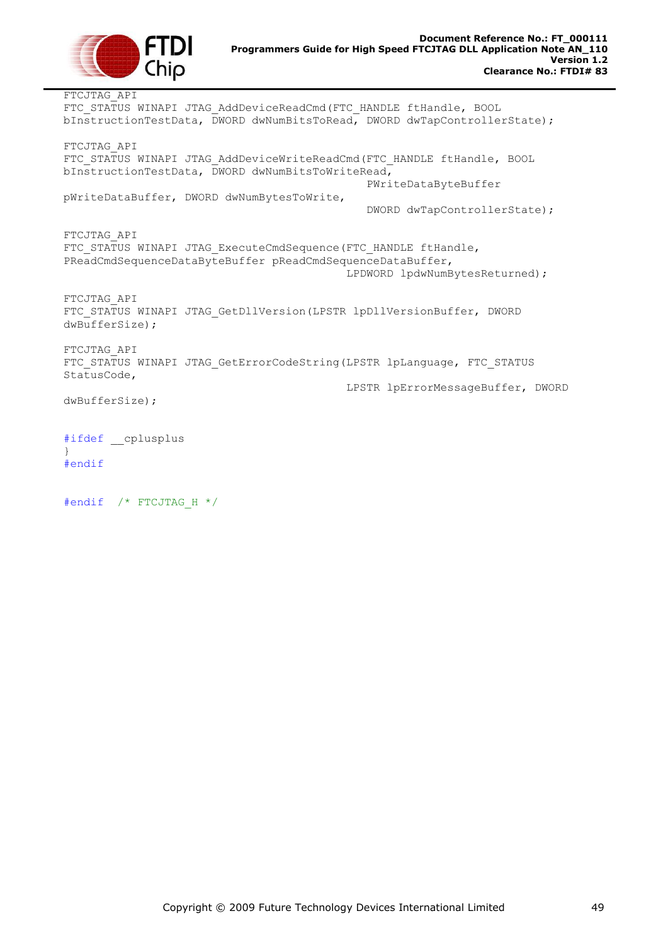

FTCJTAG\_API FTC STATUS WINAPI JTAG AddDeviceReadCmd(FTC HANDLE ftHandle, BOOL bInstructionTestData, DWORD dwNumBitsToRead, DWORD dwTapControllerState); FTCJTAG\_API FTC STATUS WINAPI JTAG AddDeviceWriteReadCmd(FTC HANDLE ftHandle, BOOL bInstructionTestData, DWORD dwNumBitsToWriteRead, PWriteDataByteBuffer pWriteDataBuffer, DWORD dwNumBytesToWrite, DWORD dwTapControllerState); FTCJTAG\_API FTC STATUS WINAPI JTAG ExecuteCmdSequence(FTC HANDLE ftHandle, PReadCmdSequenceDataByteBuffer pReadCmdSequenceDataBuffer, LPDWORD lpdwNumBytesReturned); FTCJTAG\_API FTC STATUS WINAPI JTAG GetDllVersion(LPSTR lpDllVersionBuffer, DWORD dwBufferSize); FTCJTAG\_API FTC STATUS WINAPI JTAG GetErrorCodeString(LPSTR lpLanguage, FTC STATUS StatusCode, LPSTR lpErrorMessageBuffer, DWORD dwBufferSize); #ifdef \_\_cplusplus } #endif

#endif /\* FTCJTAG\_H \*/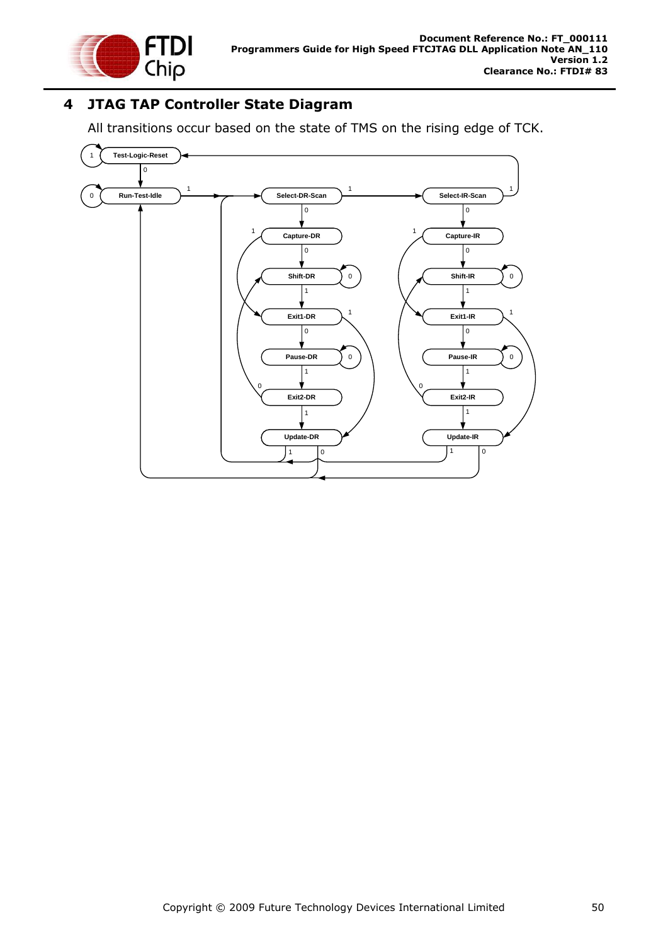

# <span id="page-50-0"></span>**4 JTAG TAP Controller State Diagram**

All transitions occur based on the state of TMS on the rising edge of TCK.

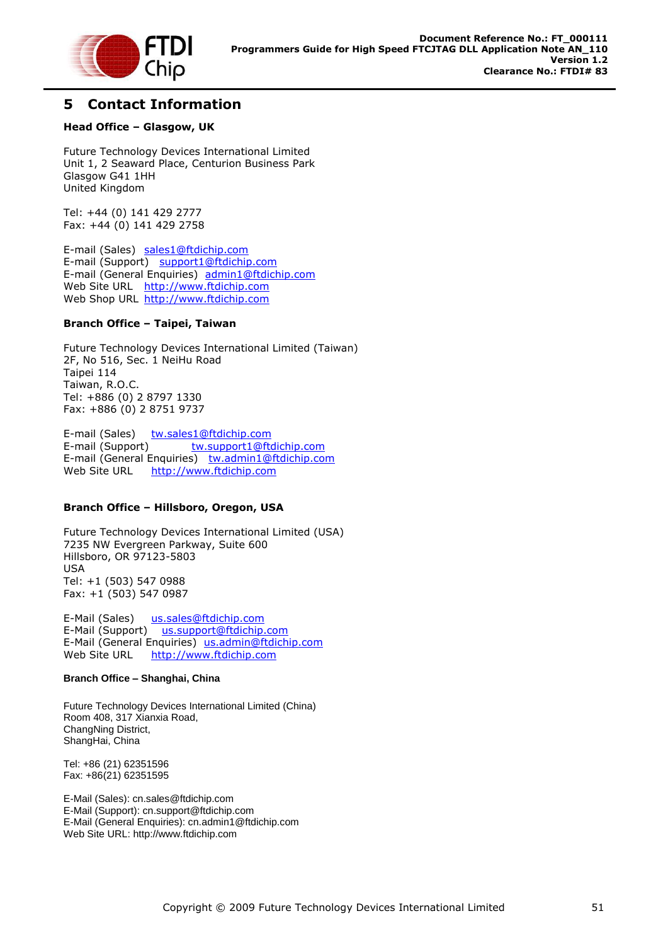

### <span id="page-51-0"></span>**5 Contact Information**

#### **Head Office – Glasgow, UK**

Future Technology Devices International Limited Unit 1, 2 Seaward Place, Centurion Business Park Glasgow G41 1HH United Kingdom

Tel: +44 (0) 141 429 2777 Fax: +44 (0) 141 429 2758

E-mail (Sales) [sales1@ftdichip.com](mailto:sales1@ftdichip.com) E-mail (Support) [support1@ftdichip.com](mailto:support1@ftdichip.com) E-mail (General Enquiries) [admin1@ftdichip.com](mailto:admin1@ftdichip.com) Web Site URL [http://www.ftdichip.com](http://www.ftdichip.com/) Web Shop URL [http://www.ftdichip.com](http://www.ftdichip.com/)

#### **Branch Office – Taipei, Taiwan**

Future Technology Devices International Limited (Taiwan) 2F, No 516, Sec. 1 NeiHu Road Taipei 114 Taiwan, R.O.C. Tel: +886 (0) 2 8797 1330 Fax: +886 (0) 2 8751 9737

E-mail (Sales) [tw.sales1@ftdichip.com](mailto:tw.sales1@ftdichip.com) E-mail (Support) [tw.support1@ftdichip.com](mailto:tw.support1@ftdichip.com) E-mail (General Enquiries) [tw.admin1@ftdichip.com](mailto:tw.admin1@ftdichip.com) Web Site URL [http://www.ftdichip.com](http://www.ftdichip.com/)

### **Branch Office – Hillsboro, Oregon, USA**

Future Technology Devices International Limited (USA) 7235 NW Evergreen Parkway, Suite 600 Hillsboro, OR 97123-5803 USA Tel: +1 (503) 547 0988 Fax: +1 (503) 547 0987

E-Mail (Sales) [us.sales@ftdichip.com](mailto:us.sales@ftdichip.com) E-Mail (Support) [us.support@ftdichip.com](mailto:us.support@ftdichip.com) E-Mail (General Enquiries) [us.admin@ftdichip.com](mailto:us.admin@ftdichip.com) Web Site URL [http://www.ftdichip.com](http://www.ftdichip.com/)

#### **Branch Office – Shanghai, China**

Future Technology Devices International Limited (China) Room 408, 317 Xianxia Road, ChangNing District, ShangHai, China

Tel: +86 [\(21\) 6](LiveCall:(503)547-0988)2351596 Fax: +8[6\(21\) 6](LiveCall:(503)547-0987)2351595

E-Mail (Sales): [cn.sales@ftdichip.com](mailto:cn.sales@ftdichip.com) E-Mail (Support): c[n.support@ftdichip.](mailto:.support@ftdichip)com E-Mail (General Enquiries): c[n.admin1@ftdichip.com](mailto:admin1@ftdichip.com) Web Site URL[: http://www.ftdichip.com](http://www.ftdichip.com/)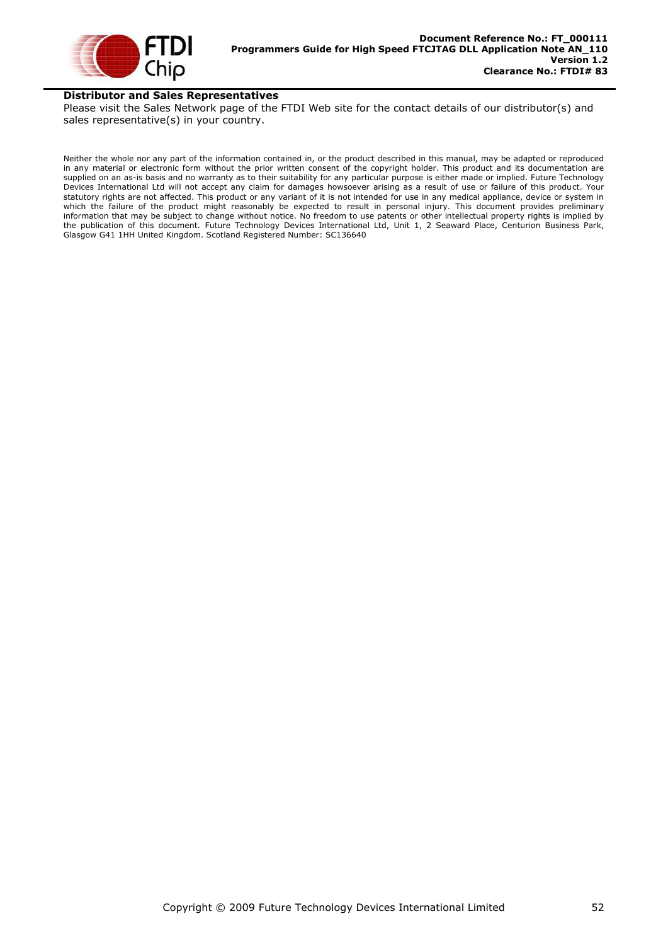

### **Distributor and Sales Representatives**

Please visit the Sales Network page of the FTDI Web site for the contact details of our distributor(s) and sales representative(s) in your country.

Neither the whole nor any part of the information contained in, or the product described in this manual, may be adapted or reproduced in any material or electronic form without the prior written consent of the copyright holder. This product and its documentation are supplied on an as-is basis and no warranty as to their suitability for any particular purpose is either made or implied. Future Technology Devices International Ltd will not accept any claim for damages howsoever arising as a result of use or failure of this product. Your statutory rights are not affected. This product or any variant of it is not intended for use in any medical appliance, device or system in which the failure of the product might reasonably be expected to result in personal injury. This document provides preliminary information that may be subject to change without notice. No freedom to use patents or other intellectual property rights is implied by the publication of this document. Future Technology Devices International Ltd, Unit 1, 2 Seaward Place, Centurion Business Park, Glasgow G41 1HH United Kingdom. Scotland Registered Number: SC136640